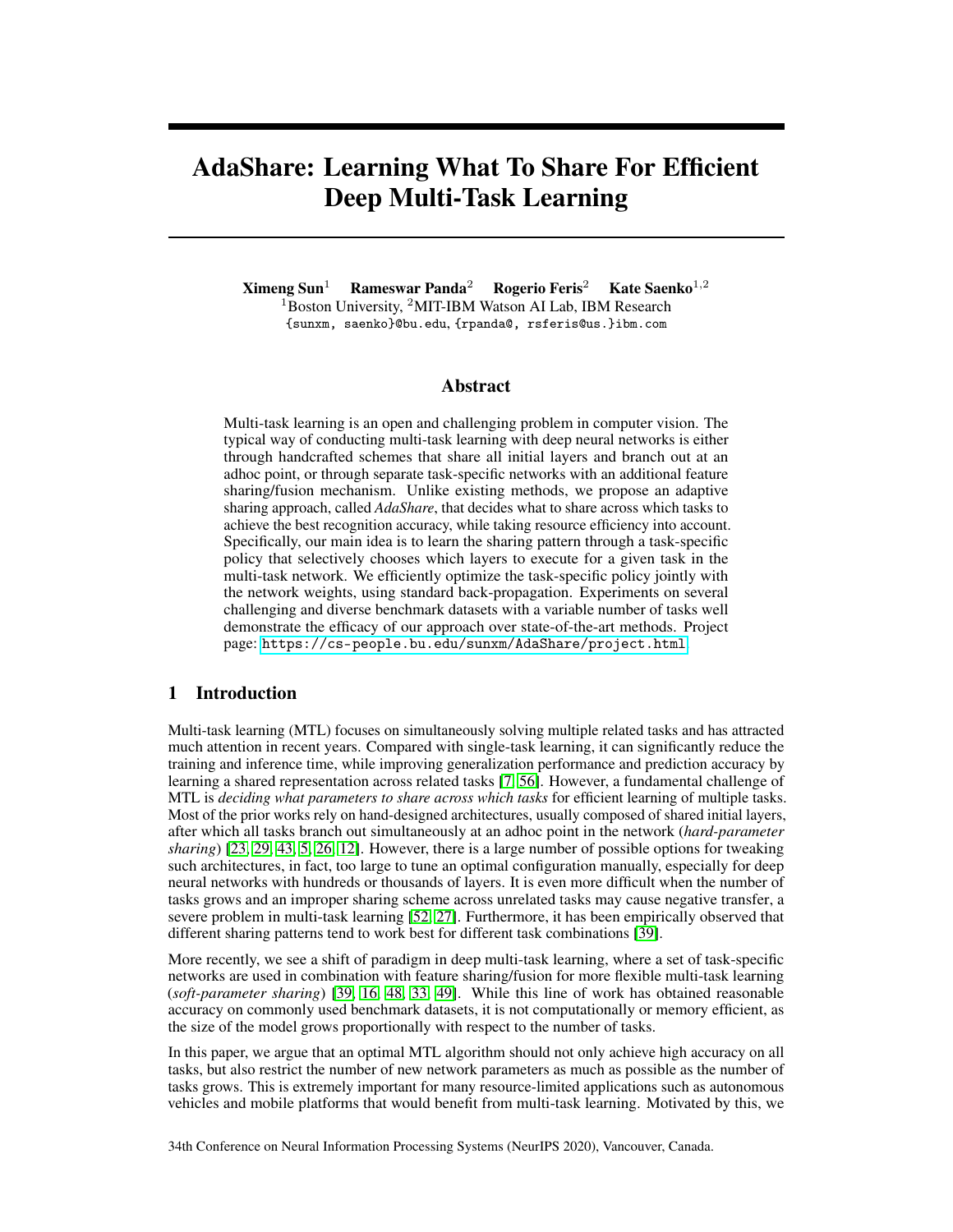# AdaShare: Learning What To Share For Efficient Deep Multi-Task Learning

 $X$ imeng Sun<sup>1</sup> Rameswar Panda<sup>2</sup> Rogerio Feris<sup>2</sup> Kate Saenko<sup>1,2</sup> <sup>1</sup>Boston University, <sup>2</sup>MIT-IBM Watson AI Lab, IBM Research {sunxm, saenko}@bu.edu, {rpanda@, rsferis@us.}ibm.com

#### Abstract

Multi-task learning is an open and challenging problem in computer vision. The typical way of conducting multi-task learning with deep neural networks is either through handcrafted schemes that share all initial layers and branch out at an adhoc point, or through separate task-specific networks with an additional feature sharing/fusion mechanism. Unlike existing methods, we propose an adaptive sharing approach, called *AdaShare*, that decides what to share across which tasks to achieve the best recognition accuracy, while taking resource efficiency into account. Specifically, our main idea is to learn the sharing pattern through a task-specific policy that selectively chooses which layers to execute for a given task in the multi-task network. We efficiently optimize the task-specific policy jointly with the network weights, using standard back-propagation. Experiments on several challenging and diverse benchmark datasets with a variable number of tasks well demonstrate the efficacy of our approach over state-of-the-art methods. Project page: <https://cs-people.bu.edu/sunxm/AdaShare/project.html>.

## 1 Introduction

Multi-task learning (MTL) focuses on simultaneously solving multiple related tasks and has attracted much attention in recent years. Compared with single-task learning, it can significantly reduce the training and inference time, while improving generalization performance and prediction accuracy by learning a shared representation across related tasks [\[7,](#page-9-0) [56\]](#page-12-0). However, a fundamental challenge of MTL is *deciding what parameters to share across which tasks* for efficient learning of multiple tasks. Most of the prior works rely on hand-designed architectures, usually composed of shared initial layers, after which all tasks branch out simultaneously at an adhoc point in the network (*hard-parameter sharing*) [\[23,](#page-10-0) [29,](#page-10-1) [43,](#page-11-0) [5,](#page-9-1) [26,](#page-10-2) [12\]](#page-10-3). However, there is a large number of possible options for tweaking such architectures, in fact, too large to tune an optimal configuration manually, especially for deep neural networks with hundreds or thousands of layers. It is even more difficult when the number of tasks grows and an improper sharing scheme across unrelated tasks may cause negative transfer, a severe problem in multi-task learning [\[52,](#page-12-1) [27\]](#page-10-4). Furthermore, it has been empirically observed that different sharing patterns tend to work best for different task combinations [\[39\]](#page-11-1).

More recently, we see a shift of paradigm in deep multi-task learning, where a set of task-specific networks are used in combination with feature sharing/fusion for more flexible multi-task learning (*soft-parameter sharing*) [\[39,](#page-11-1) [16,](#page-10-5) [48,](#page-11-2) [33,](#page-11-3) [49\]](#page-11-4). While this line of work has obtained reasonable accuracy on commonly used benchmark datasets, it is not computationally or memory efficient, as the size of the model grows proportionally with respect to the number of tasks.

In this paper, we argue that an optimal MTL algorithm should not only achieve high accuracy on all tasks, but also restrict the number of new network parameters as much as possible as the number of tasks grows. This is extremely important for many resource-limited applications such as autonomous vehicles and mobile platforms that would benefit from multi-task learning. Motivated by this, we

34th Conference on Neural Information Processing Systems (NeurIPS 2020), Vancouver, Canada.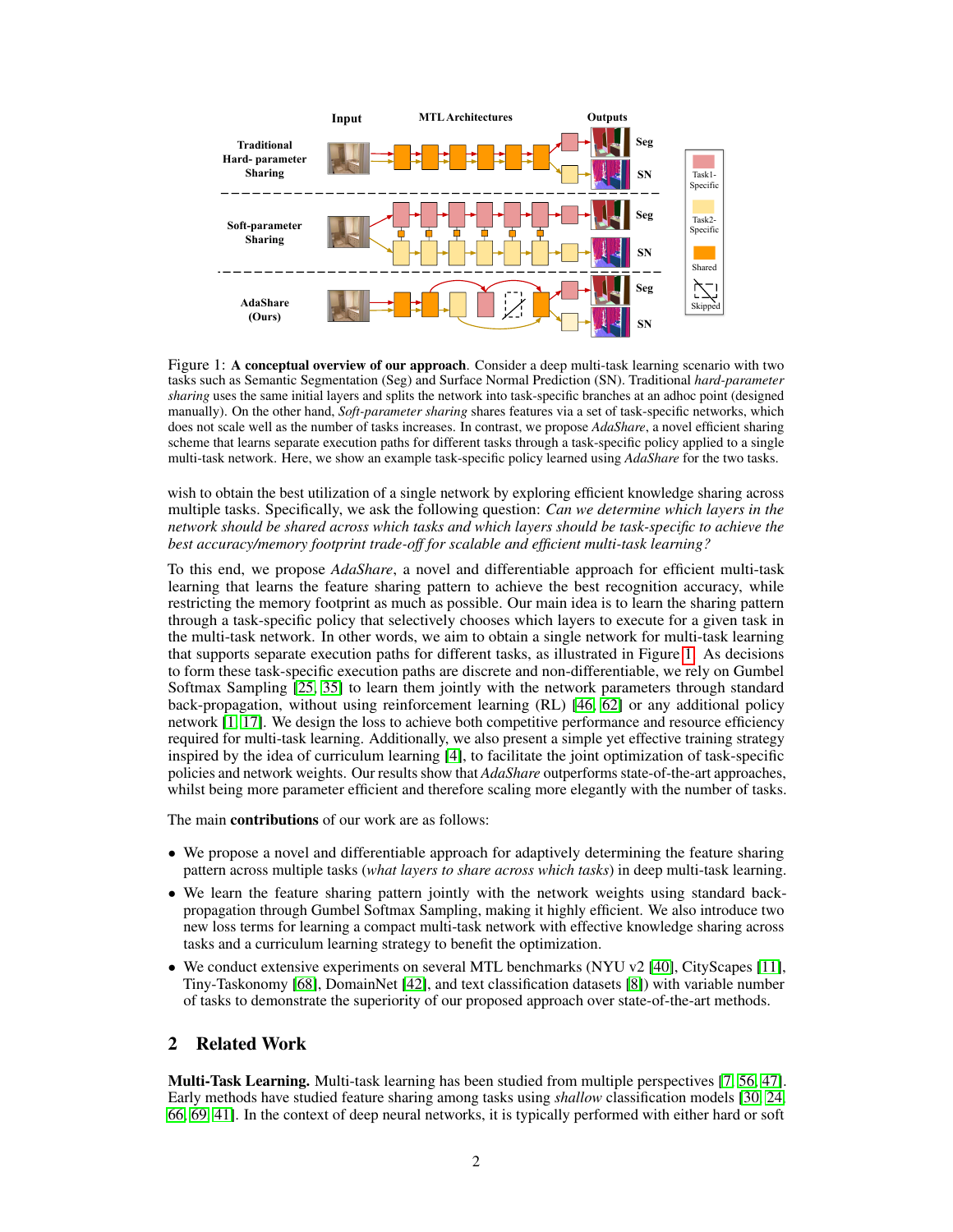<span id="page-1-0"></span>

Figure 1: A conceptual overview of our approach. Consider a deep multi-task learning scenario with two tasks such as Semantic Segmentation (Seg) and Surface Normal Prediction (SN). Traditional *hard-parameter sharing* uses the same initial layers and splits the network into task-specific branches at an adhoc point (designed manually). On the other hand, *Soft-parameter sharing* shares features via a set of task-specific networks, which does not scale well as the number of tasks increases. In contrast, we propose *AdaShare*, a novel efficient sharing scheme that learns separate execution paths for different tasks through a task-specific policy applied to a single multi-task network. Here, we show an example task-specific policy learned using *AdaShare* for the two tasks.

wish to obtain the best utilization of a single network by exploring efficient knowledge sharing across multiple tasks. Specifically, we ask the following question: *Can we determine which layers in the network should be shared across which tasks and which layers should be task-specific to achieve the best accuracy/memory footprint trade-off for scalable and efficient multi-task learning?*

To this end, we propose *AdaShare*, a novel and differentiable approach for efficient multi-task learning that learns the feature sharing pattern to achieve the best recognition accuracy, while restricting the memory footprint as much as possible. Our main idea is to learn the sharing pattern through a task-specific policy that selectively chooses which layers to execute for a given task in the multi-task network. In other words, we aim to obtain a single network for multi-task learning that supports separate execution paths for different tasks, as illustrated in Figure [1.](#page-1-0) As decisions to form these task-specific execution paths are discrete and non-differentiable, we rely on Gumbel Softmax Sampling [\[25,](#page-10-6) [35\]](#page-11-5) to learn them jointly with the network parameters through standard back-propagation, without using reinforcement learning (RL) [\[46,](#page-11-6) [62\]](#page-12-2) or any additional policy network [\[1,](#page-9-2) [17\]](#page-10-7). We design the loss to achieve both competitive performance and resource efficiency required for multi-task learning. Additionally, we also present a simple yet effective training strategy inspired by the idea of curriculum learning [\[4\]](#page-9-3), to facilitate the joint optimization of task-specific policies and network weights. Our results show that *AdaShare* outperforms state-of-the-art approaches, whilst being more parameter efficient and therefore scaling more elegantly with the number of tasks.

The main **contributions** of our work are as follows:

- We propose a novel and differentiable approach for adaptively determining the feature sharing pattern across multiple tasks (*what layers to share across which tasks*) in deep multi-task learning.
- We learn the feature sharing pattern jointly with the network weights using standard backpropagation through Gumbel Softmax Sampling, making it highly efficient. We also introduce two new loss terms for learning a compact multi-task network with effective knowledge sharing across tasks and a curriculum learning strategy to benefit the optimization.
- We conduct extensive experiments on several MTL benchmarks (NYU v2 [\[40\]](#page-11-7), CityScapes [\[11\]](#page-10-8), Tiny-Taskonomy [\[68\]](#page-12-3), DomainNet [\[42\]](#page-11-8), and text classification datasets [\[8\]](#page-9-4)) with variable number of tasks to demonstrate the superiority of our proposed approach over state-of-the-art methods.

#### 2 Related Work

Multi-Task Learning. Multi-task learning has been studied from multiple perspectives [\[7,](#page-9-0) [56,](#page-12-0) [47\]](#page-11-9). Early methods have studied feature sharing among tasks using *shallow* classification models [\[30,](#page-10-9) [24,](#page-10-10) [66,](#page-12-4) [69,](#page-12-5) [41\]](#page-11-10). In the context of deep neural networks, it is typically performed with either hard or soft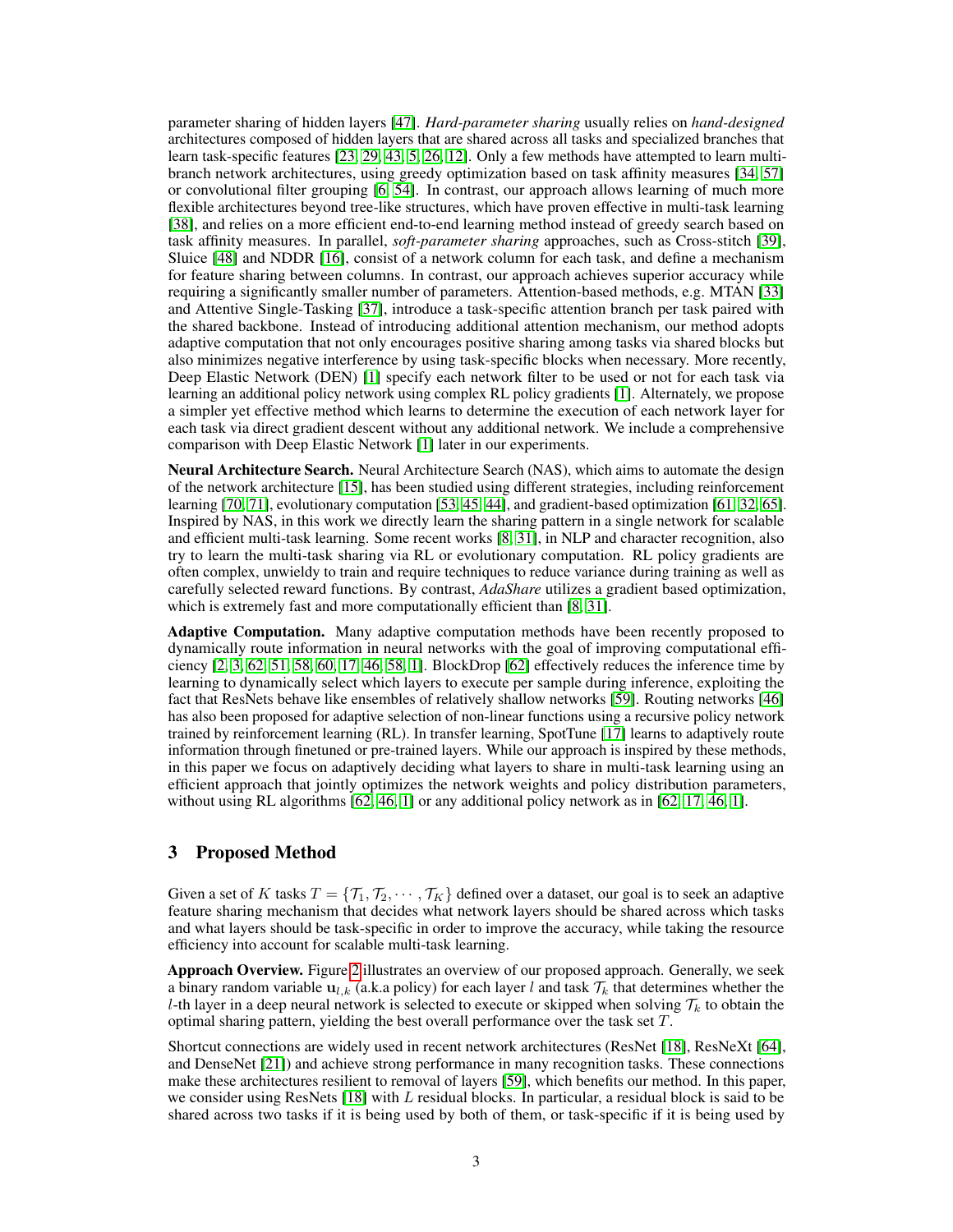parameter sharing of hidden layers [\[47\]](#page-11-9). *Hard-parameter sharing* usually relies on *hand-designed* architectures composed of hidden layers that are shared across all tasks and specialized branches that learn task-specific features [\[23,](#page-10-0) [29,](#page-10-1) [43,](#page-11-0) [5,](#page-9-1) [26,](#page-10-2) [12\]](#page-10-3). Only a few methods have attempted to learn multibranch network architectures, using greedy optimization based on task affinity measures [\[34,](#page-11-11) [57\]](#page-12-6) or convolutional filter grouping [\[6,](#page-9-5) [54\]](#page-12-7). In contrast, our approach allows learning of much more flexible architectures beyond tree-like structures, which have proven effective in multi-task learning [\[38\]](#page-11-12), and relies on a more efficient end-to-end learning method instead of greedy search based on task affinity measures. In parallel, *soft-parameter sharing* approaches, such as Cross-stitch [\[39\]](#page-11-1), Sluice [\[48\]](#page-11-2) and NDDR [\[16\]](#page-10-5), consist of a network column for each task, and define a mechanism for feature sharing between columns. In contrast, our approach achieves superior accuracy while requiring a significantly smaller number of parameters. Attention-based methods, e.g. MTAN [\[33\]](#page-11-3) and Attentive Single-Tasking [\[37\]](#page-11-13), introduce a task-specific attention branch per task paired with the shared backbone. Instead of introducing additional attention mechanism, our method adopts adaptive computation that not only encourages positive sharing among tasks via shared blocks but also minimizes negative interference by using task-specific blocks when necessary. More recently, Deep Elastic Network (DEN) [\[1\]](#page-9-2) specify each network filter to be used or not for each task via learning an additional policy network using complex RL policy gradients [\[1\]](#page-9-2). Alternately, we propose a simpler yet effective method which learns to determine the execution of each network layer for each task via direct gradient descent without any additional network. We include a comprehensive comparison with Deep Elastic Network [\[1\]](#page-9-2) later in our experiments.

Neural Architecture Search. Neural Architecture Search (NAS), which aims to automate the design of the network architecture [\[15\]](#page-10-11), has been studied using different strategies, including reinforcement learning [\[70,](#page-12-8) [71\]](#page-12-9), evolutionary computation [\[53,](#page-12-10) [45,](#page-11-14) [44\]](#page-11-15), and gradient-based optimization [\[61,](#page-12-11) [32,](#page-11-16) [65\]](#page-12-12). Inspired by NAS, in this work we directly learn the sharing pattern in a single network for scalable and efficient multi-task learning. Some recent works [\[8,](#page-9-4) [31\]](#page-11-17), in NLP and character recognition, also try to learn the multi-task sharing via RL or evolutionary computation. RL policy gradients are often complex, unwieldy to train and require techniques to reduce variance during training as well as carefully selected reward functions. By contrast, *AdaShare* utilizes a gradient based optimization, which is extremely fast and more computationally efficient than [\[8,](#page-9-4) [31\]](#page-11-17).

Adaptive Computation. Many adaptive computation methods have been recently proposed to dynamically route information in neural networks with the goal of improving computational efficiency  $[2, 3, 62, 51, 58, 60, 17, 46, 58, 1]$  $[2, 3, 62, 51, 58, 60, 17, 46, 58, 1]$  $[2, 3, 62, 51, 58, 60, 17, 46, 58, 1]$  $[2, 3, 62, 51, 58, 60, 17, 46, 58, 1]$  $[2, 3, 62, 51, 58, 60, 17, 46, 58, 1]$  $[2, 3, 62, 51, 58, 60, 17, 46, 58, 1]$  $[2, 3, 62, 51, 58, 60, 17, 46, 58, 1]$  $[2, 3, 62, 51, 58, 60, 17, 46, 58, 1]$  $[2, 3, 62, 51, 58, 60, 17, 46, 58, 1]$  $[2, 3, 62, 51, 58, 60, 17, 46, 58, 1]$  $[2, 3, 62, 51, 58, 60, 17, 46, 58, 1]$  $[2, 3, 62, 51, 58, 60, 17, 46, 58, 1]$  $[2, 3, 62, 51, 58, 60, 17, 46, 58, 1]$  $[2, 3, 62, 51, 58, 60, 17, 46, 58, 1]$  $[2, 3, 62, 51, 58, 60, 17, 46, 58, 1]$  $[2, 3, 62, 51, 58, 60, 17, 46, 58, 1]$  $[2, 3, 62, 51, 58, 60, 17, 46, 58, 1]$ . BlockDrop  $[62]$  effectively reduces the inference time by learning to dynamically select which layers to execute per sample during inference, exploiting the fact that ResNets behave like ensembles of relatively shallow networks [\[59\]](#page-12-15). Routing networks [\[46\]](#page-11-6) has also been proposed for adaptive selection of non-linear functions using a recursive policy network trained by reinforcement learning (RL). In transfer learning, SpotTune [\[17\]](#page-10-7) learns to adaptively route information through finetuned or pre-trained layers. While our approach is inspired by these methods, in this paper we focus on adaptively deciding what layers to share in multi-task learning using an efficient approach that jointly optimizes the network weights and policy distribution parameters, without using RL algorithms [\[62,](#page-12-2) [46,](#page-11-6) [1\]](#page-9-2) or any additional policy network as in [62, [17,](#page-10-7) 46, 1].

# 3 Proposed Method

Given a set of K tasks  $T = \{T_1, T_2, \dots, T_K\}$  defined over a dataset, our goal is to seek an adaptive feature sharing mechanism that decides what network layers should be shared across which tasks and what layers should be task-specific in order to improve the accuracy, while taking the resource efficiency into account for scalable multi-task learning.

Approach Overview. Figure [2](#page-3-0) illustrates an overview of our proposed approach. Generally, we seek a binary random variable  $u_{l,k}$  (a.k.a policy) for each layer l and task  $\mathcal{T}_k$  that determines whether the l-th layer in a deep neural network is selected to execute or skipped when solving  $\mathcal{T}_k$  to obtain the optimal sharing pattern, yielding the best overall performance over the task set T.

Shortcut connections are widely used in recent network architectures (ResNet [\[18\]](#page-10-12), ResNeXt [\[64\]](#page-12-16), and DenseNet [\[21\]](#page-10-13)) and achieve strong performance in many recognition tasks. These connections make these architectures resilient to removal of layers [\[59\]](#page-12-15), which benefits our method. In this paper, we consider using ResNets  $[18]$  with L residual blocks. In particular, a residual block is said to be shared across two tasks if it is being used by both of them, or task-specific if it is being used by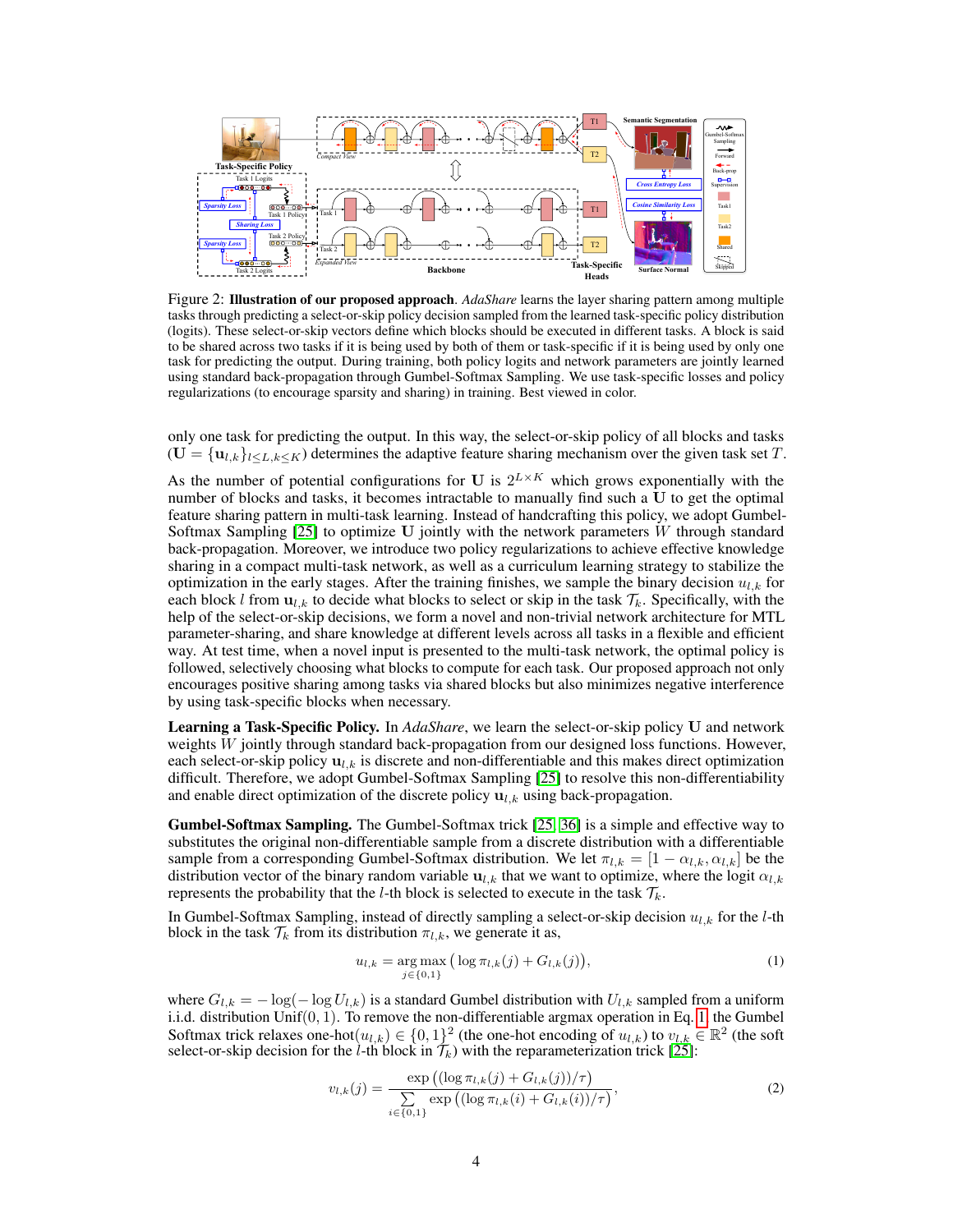<span id="page-3-0"></span>

Figure 2: Illustration of our proposed approach. *AdaShare* learns the layer sharing pattern among multiple tasks through predicting a select-or-skip policy decision sampled from the learned task-specific policy distribution (logits). These select-or-skip vectors define which blocks should be executed in different tasks. A block is said to be shared across two tasks if it is being used by both of them or task-specific if it is being used by only one task for predicting the output. During training, both policy logits and network parameters are jointly learned using standard back-propagation through Gumbel-Softmax Sampling. We use task-specific losses and policy regularizations (to encourage sparsity and sharing) in training. Best viewed in color.

only one task for predicting the output. In this way, the select-or-skip policy of all blocks and tasks  $(U = {u_{l,k}}_{l \leq L,k \leq K})$  determines the adaptive feature sharing mechanism over the given task set T.

As the number of potential configurations for U is  $2^{L \times K}$  which grows exponentially with the number of blocks and tasks, it becomes intractable to manually find such a  $\hat{U}$  to get the optimal feature sharing pattern in multi-task learning. Instead of handcrafting this policy, we adopt Gumbel-Softmax Sampling  $[25]$  to optimize U jointly with the network parameters W through standard back-propagation. Moreover, we introduce two policy regularizations to achieve effective knowledge sharing in a compact multi-task network, as well as a curriculum learning strategy to stabilize the optimization in the early stages. After the training finishes, we sample the binary decision  $u_{l,k}$  for each block l from  $\mathbf{u}_{l,k}$  to decide what blocks to select or skip in the task  $\mathcal{T}_k$ . Specifically, with the help of the select-or-skip decisions, we form a novel and non-trivial network architecture for MTL parameter-sharing, and share knowledge at different levels across all tasks in a flexible and efficient way. At test time, when a novel input is presented to the multi-task network, the optimal policy is followed, selectively choosing what blocks to compute for each task. Our proposed approach not only encourages positive sharing among tasks via shared blocks but also minimizes negative interference by using task-specific blocks when necessary.

Learning a Task-Specific Policy. In *AdaShare*, we learn the select-or-skip policy U and network weights W jointly through standard back-propagation from our designed loss functions. However, each select-or-skip policy  $\mathbf{u}_{l,k}$  is discrete and non-differentiable and this makes direct optimization difficult. Therefore, we adopt Gumbel-Softmax Sampling [\[25\]](#page-10-6) to resolve this non-differentiability and enable direct optimization of the discrete policy  $\mathbf{u}_{l,k}$  using back-propagation.

Gumbel-Softmax Sampling. The Gumbel-Softmax trick [\[25,](#page-10-6) [36\]](#page-11-19) is a simple and effective way to substitutes the original non-differentiable sample from a discrete distribution with a differentiable sample from a corresponding Gumbel-Softmax distribution. We let  $\pi_{l,k} = [1 - \alpha_{l,k}, \alpha_{l,k}]$  be the distribution vector of the binary random variable  $\mathbf{u}_{l,k}$  that we want to optimize, where the logit  $\alpha_{l,k}$ represents the probability that the *l*-th block is selected to execute in the task  $\mathcal{T}_k$ .

In Gumbel-Softmax Sampling, instead of directly sampling a select-or-skip decision  $u_{l,k}$  for the l-th block in the task  $\mathcal{T}_k$  from its distribution  $\pi_{l,k}$ , we generate it as,

<span id="page-3-2"></span><span id="page-3-1"></span>
$$
u_{l,k} = \underset{j \in \{0,1\}}{\arg \max} \left( \log \pi_{l,k}(j) + G_{l,k}(j) \right),\tag{1}
$$

where  $G_{l,k} = -\log(-\log U_{l,k})$  is a standard Gumbel distribution with  $U_{l,k}$  sampled from a uniform i.i.d. distribution  $Unif(0, 1)$ . To remove the non-differentiable argmax operation in Eq. [1,](#page-3-1) the Gumbel Softmax trick relaxes one-hot $(u_{l,k}) \in \{0,1\}^2$  (the one-hot encoding of  $u_{l,k}$ ) to  $v_{l,k} \in \mathbb{R}^2$  (the soft select-or-skip decision for the  $l$ -th block in  $\mathcal{T}_k$ ) with the reparameterization trick [\[25\]](#page-10-6):

$$
v_{l,k}(j) = \frac{\exp((\log \pi_{l,k}(j) + G_{l,k}(j))/\tau)}{\sum\limits_{i \in \{0,1\}} \exp((\log \pi_{l,k}(i) + G_{l,k}(i))/\tau)},
$$
\n(2)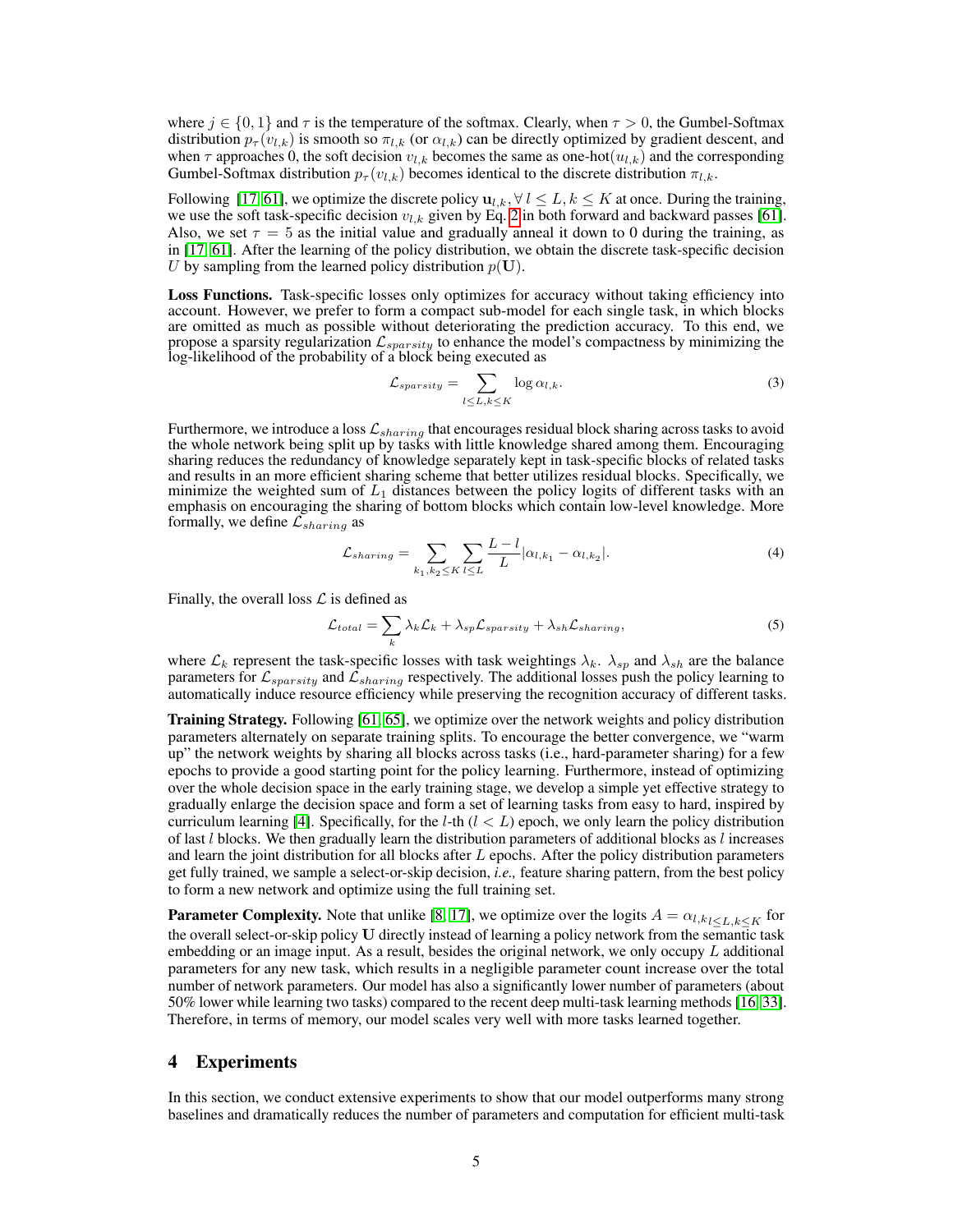where  $j \in \{0, 1\}$  and  $\tau$  is the temperature of the softmax. Clearly, when  $\tau > 0$ , the Gumbel-Softmax distribution  $p_{\tau}(v_{l,k})$  is smooth so  $\pi_{l,k}$  (or  $\alpha_{l,k}$ ) can be directly optimized by gradient descent, and when  $\tau$  approaches 0, the soft decision  $v_{l,k}$  becomes the same as one-hot( $u_{l,k}$ ) and the corresponding Gumbel-Softmax distribution  $p_{\tau}(v_{l,k})$  becomes identical to the discrete distribution  $\pi_{l,k}$ .

Following [\[17,](#page-10-7) [61\]](#page-12-11), we optimize the discrete policy  $u_{l,k}$ ,  $\forall l \leq L, k \leq K$  at once. During the training, we use the soft task-specific decision  $v_{l,k}$  given by Eq. [2](#page-3-2) in both forward and backward passes [\[61\]](#page-12-11). Also, we set  $\tau = 5$  as the initial value and gradually anneal it down to 0 during the training, as in [\[17,](#page-10-7) [61\]](#page-12-11). After the learning of the policy distribution, we obtain the discrete task-specific decision U by sampling from the learned policy distribution  $p(\mathbf{U})$ .

Loss Functions. Task-specific losses only optimizes for accuracy without taking efficiency into account. However, we prefer to form a compact sub-model for each single task, in which blocks are omitted as much as possible without deteriorating the prediction accuracy. To this end, we propose a sparsity regularization  $\mathcal{L}_{sparsity}$  to enhance the model's compactness by minimizing the log-likelihood of the probability of a block being executed as

$$
\mathcal{L}_{sparsity} = \sum_{l \le L, k \le K} \log \alpha_{l,k}.\tag{3}
$$

Furthermore, we introduce a loss  $\mathcal{L}_{sharing}$  that encourages residual block sharing across tasks to avoid the whole network being split up by tasks with little knowledge shared among them. Encouraging sharing reduces the redundancy of knowledge separately kept in task-specific blocks of related tasks and results in an more efficient sharing scheme that better utilizes residual blocks. Specifically, we minimize the weighted sum of  $L_1$  distances between the policy logits of different tasks with an emphasis on encouraging the sharing of bottom blocks which contain low-level knowledge. More formally, we define  $\mathcal{L}_{sharing}$  as

$$
\mathcal{L}_{sharing} = \sum_{k_1, k_2 \le K} \sum_{l \le L} \frac{L - l}{L} |\alpha_{l, k_1} - \alpha_{l, k_2}|. \tag{4}
$$

Finally, the overall loss  $\mathcal L$  is defined as

$$
\mathcal{L}_{total} = \sum_{k} \lambda_k \mathcal{L}_k + \lambda_{sp} \mathcal{L}_{sparsity} + \lambda_{sh} \mathcal{L}_{sharing},
$$
\n(5)

where  $\mathcal{L}_k$  represent the task-specific losses with task weightings  $\lambda_k$ .  $\lambda_{sp}$  and  $\lambda_{sh}$  are the balance parameters for  $\mathcal{L}_{sparsity}$  and  $\mathcal{L}_{sharing}$  respectively. The additional losses push the policy learning to automatically induce resource efficiency while preserving the recognition accuracy of different tasks.

Training Strategy. Following [\[61,](#page-12-11) [65\]](#page-12-12), we optimize over the network weights and policy distribution parameters alternately on separate training splits. To encourage the better convergence, we "warm up" the network weights by sharing all blocks across tasks (i.e., hard-parameter sharing) for a few epochs to provide a good starting point for the policy learning. Furthermore, instead of optimizing over the whole decision space in the early training stage, we develop a simple yet effective strategy to gradually enlarge the decision space and form a set of learning tasks from easy to hard, inspired by curriculum learning [\[4\]](#page-9-3). Specifically, for the *l*-th  $(l < L)$  epoch, we only learn the policy distribution of last  $l$  blocks. We then gradually learn the distribution parameters of additional blocks as  $l$  increases and learn the joint distribution for all blocks after L epochs. After the policy distribution parameters get fully trained, we sample a select-or-skip decision, *i.e.,* feature sharing pattern, from the best policy to form a new network and optimize using the full training set.

**Parameter Complexity.** Note that unlike [\[8,](#page-9-4) [17\]](#page-10-7), we optimize over the logits  $A = \alpha_{l,k}$ <sub>*l* $\leq L, k \leq K$ </sub> for the overall select-or-skip policy U directly instead of learning a policy network from the semantic task embedding or an image input. As a result, besides the original network, we only occupy  $L$  additional parameters for any new task, which results in a negligible parameter count increase over the total number of network parameters. Our model has also a significantly lower number of parameters (about 50% lower while learning two tasks) compared to the recent deep multi-task learning methods [\[16,](#page-10-5) [33\]](#page-11-3). Therefore, in terms of memory, our model scales very well with more tasks learned together.

## 4 Experiments

In this section, we conduct extensive experiments to show that our model outperforms many strong baselines and dramatically reduces the number of parameters and computation for efficient multi-task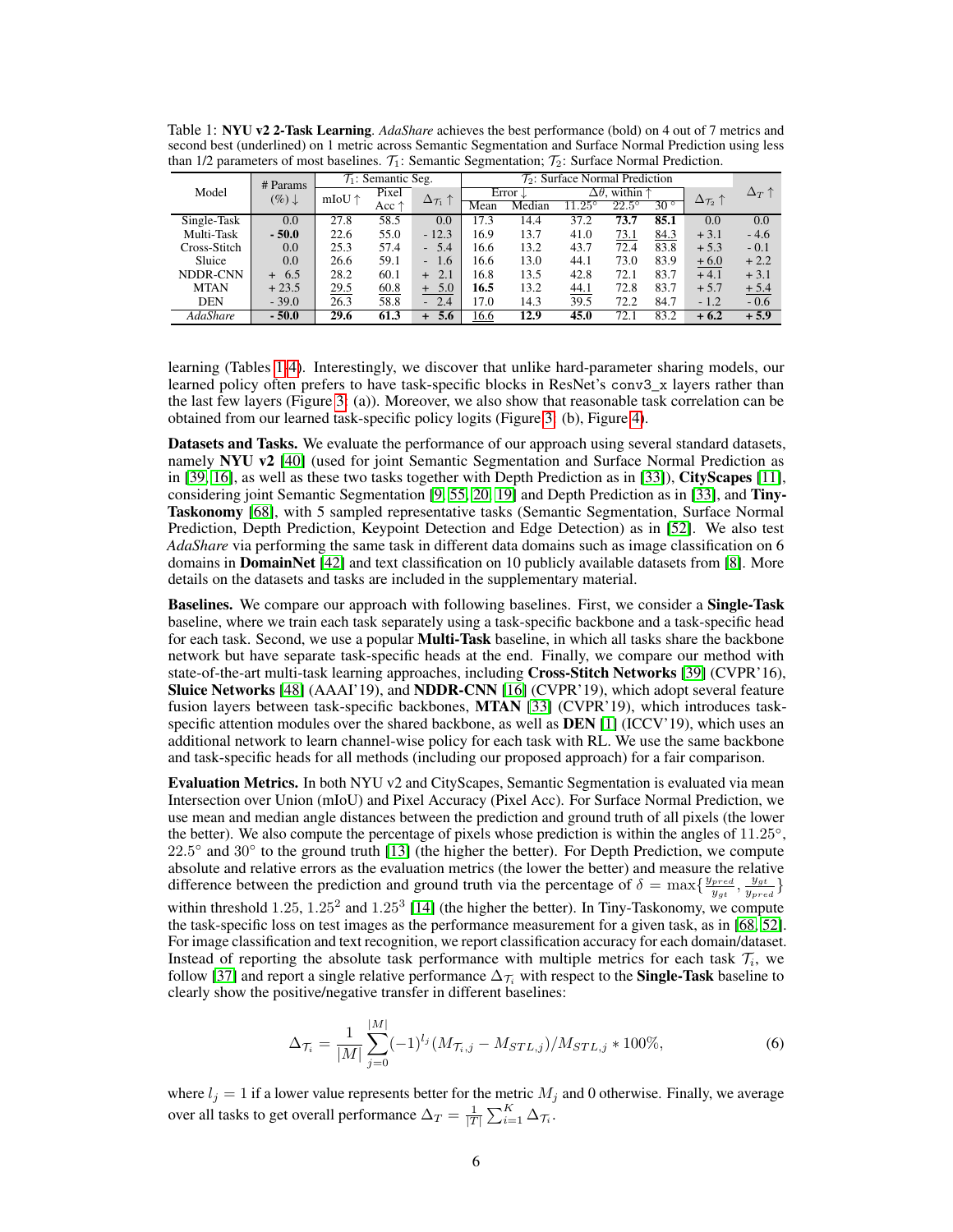<span id="page-5-0"></span>Table 1: NYU v2 2-Task Learning. *AdaShare* achieves the best performance (bold) on 4 out of 7 metrics and second best (underlined) on 1 metric across Semantic Segmentation and Surface Normal Prediction using less than 1/2 parameters of most baselines.  $\mathcal{T}_1$ : Semantic Segmentation;  $\mathcal{T}_2$ : Surface Normal Prediction.

| # Params     |                   | $\mathcal{T}_1$ : Semantic Seg. |       | $\mathcal{T}_2$ : Surface Normal Prediction |      |                    |                 |                   |            |                                   |                     |
|--------------|-------------------|---------------------------------|-------|---------------------------------------------|------|--------------------|-----------------|-------------------|------------|-----------------------------------|---------------------|
| Model        | $(\%) \downarrow$ | mIoU $\uparrow$                 | Pixel | $\Delta_{\mathcal{T}_1} \uparrow$           |      | Error $\downarrow$ | $\Delta\theta.$ | within $\uparrow$ |            | $\Delta_{\mathcal{T}_2} \uparrow$ | $\Delta_T \uparrow$ |
|              |                   |                                 | Acc ↑ |                                             | Mean | Median             | $11.25^\circ$   | $22.5^\circ$      | $30^\circ$ |                                   |                     |
| Single-Task  | 0.0               | 27.8                            | 58.5  | 0.0                                         | 17.3 | 14.4               | 37.2            | 73.7              | 85.1       | 0.0                               | 0.0                 |
| Multi-Task   | $-50.0$           | 22.6                            | 55.0  | $-12.3$                                     | 16.9 | 13.7               | 41.0            | 73.1              | 84.3       | $+3.1$                            | $-4.6$              |
| Cross-Stitch | 0.0               | 25.3                            | 57.4  | $-5.4$                                      | 16.6 | 13.2               | 43.7            | 72.4              | 83.8       | $+5.3$                            | $-0.1$              |
| Sluice       | 0.0               | 26.6                            | 59.1  | $-1.6$                                      | 16.6 | 13.0               | 44.1            | 73.0              | 83.9       | $+6.0$                            | $+2.2$              |
| NDDR-CNN     | $+6.5$            | 28.2                            | 60.1  | 2.1<br>$+$                                  | 16.8 | 13.5               | 42.8            | 72.1              | 83.7       | $+4.1$                            | $+3.1$              |
| <b>MTAN</b>  | $+23.5$           | 29.5                            | 60.8  | $+ 5.0$                                     | 16.5 | 13.2               | 44.1            | 72.8              | 83.7       | $+5.7$                            | $+5.4$              |
| <b>DEN</b>   | $-39.0$           | 26.3                            | 58.8  | 2.4<br>æ.                                   | 17.0 | 14.3               | 39.5            | 72.2              | 84.7       | $-1.2$                            | $-0.6$              |
| AdaShare     | $-50.0$           | 29.6                            | 61.3  | 5.6<br>$+$                                  | 16.6 | 12.9               | 45.0            | 72.1              | 83.2       | $+6.2$                            | $+5.9$              |

learning (Tables [1-](#page-5-0)[4\)](#page-6-0). Interestingly, we discover that unlike hard-parameter sharing models, our learned policy often prefers to have task-specific blocks in ResNet's conv3\_x layers rather than the last few layers (Figure [3:](#page-7-0) (a)). Moreover, we also show that reasonable task correlation can be obtained from our learned task-specific policy logits (Figure [3:](#page-7-0) (b), Figure [4\)](#page-7-1).

Datasets and Tasks. We evaluate the performance of our approach using several standard datasets, namely NYU v2 [\[40\]](#page-11-7) (used for joint Semantic Segmentation and Surface Normal Prediction as in [\[39,](#page-11-1) [16\]](#page-10-5), as well as these two tasks together with Depth Prediction as in [\[33\]](#page-11-3)), CityScapes [\[11\]](#page-10-8), considering joint Semantic Segmentation [\[9,](#page-9-8) [55,](#page-12-17) [20,](#page-10-14) [19\]](#page-10-15) and Depth Prediction as in [\[33\]](#page-11-3), and Tiny-Taskonomy [\[68\]](#page-12-3), with 5 sampled representative tasks (Semantic Segmentation, Surface Normal Prediction, Depth Prediction, Keypoint Detection and Edge Detection) as in [\[52\]](#page-12-1). We also test *AdaShare* via performing the same task in different data domains such as image classification on 6 domains in **DomainNet** [\[42\]](#page-11-8) and text classification on 10 publicly available datasets from [\[8\]](#page-9-4). More details on the datasets and tasks are included in the supplementary material.

Baselines. We compare our approach with following baselines. First, we consider a Single-Task baseline, where we train each task separately using a task-specific backbone and a task-specific head for each task. Second, we use a popular **Multi-Task** baseline, in which all tasks share the backbone network but have separate task-specific heads at the end. Finally, we compare our method with state-of-the-art multi-task learning approaches, including Cross-Stitch Networks [\[39\]](#page-11-1) (CVPR'16), Sluice Networks [\[48\]](#page-11-2) (AAAI'19), and NDDR-CNN [\[16\]](#page-10-5) (CVPR'19), which adopt several feature fusion layers between task-specific backbones, MTAN [\[33\]](#page-11-3) (CVPR'19), which introduces taskspecific attention modules over the shared backbone, as well as **, which uses an** additional network to learn channel-wise policy for each task with RL. We use the same backbone and task-specific heads for all methods (including our proposed approach) for a fair comparison.

Evaluation Metrics. In both NYU v2 and CityScapes, Semantic Segmentation is evaluated via mean Intersection over Union (mIoU) and Pixel Accuracy (Pixel Acc). For Surface Normal Prediction, we use mean and median angle distances between the prediction and ground truth of all pixels (the lower the better). We also compute the percentage of pixels whose prediction is within the angles of 11.25°, 22.5° and 30° to the ground truth [\[13\]](#page-10-16) (the higher the better). For Depth Prediction, we compute absolute and relative errors as the evaluation metrics (the lower the better) and measure the relative difference between the prediction and ground truth via the percentage of  $\delta = \max\{\frac{y_{pred}}{y}$  $\frac{y_{gt}}{y_{gt}}$ ,  $\frac{y_{gt}}{y_{pre}}$  $\frac{y_{gt}}{y_{pred}}\}$ within threshold  $1.25, 1.25^2$  and  $1.25^3$  [\[14\]](#page-10-17) (the higher the better). In Tiny-Taskonomy, we compute the task-specific loss on test images as the performance measurement for a given task, as in [\[68,](#page-12-3) [52\]](#page-12-1). For image classification and text recognition, we report classification accuracy for each domain/dataset. Instead of reporting the absolute task performance with multiple metrics for each task  $\mathcal{T}_i$ , we follow [\[37\]](#page-11-13) and report a single relative performance  $\Delta_{\mathcal{T}_i}$  with respect to the **Single-Task** baseline to clearly show the positive/negative transfer in different baselines:

$$
\Delta_{\mathcal{T}_{i}} = \frac{1}{|M|} \sum_{j=0}^{|M|} (-1)^{l_{j}} (M_{\mathcal{T}_{i},j} - M_{STL,j}) / M_{STL,j} * 100\%,\tag{6}
$$

where  $l_j = 1$  if a lower value represents better for the metric  $M_j$  and 0 otherwise. Finally, we average over all tasks to get overall performance  $\Delta_T = \frac{1}{|T|} \sum_{i=1}^K \Delta_{\mathcal{T}_i}$ .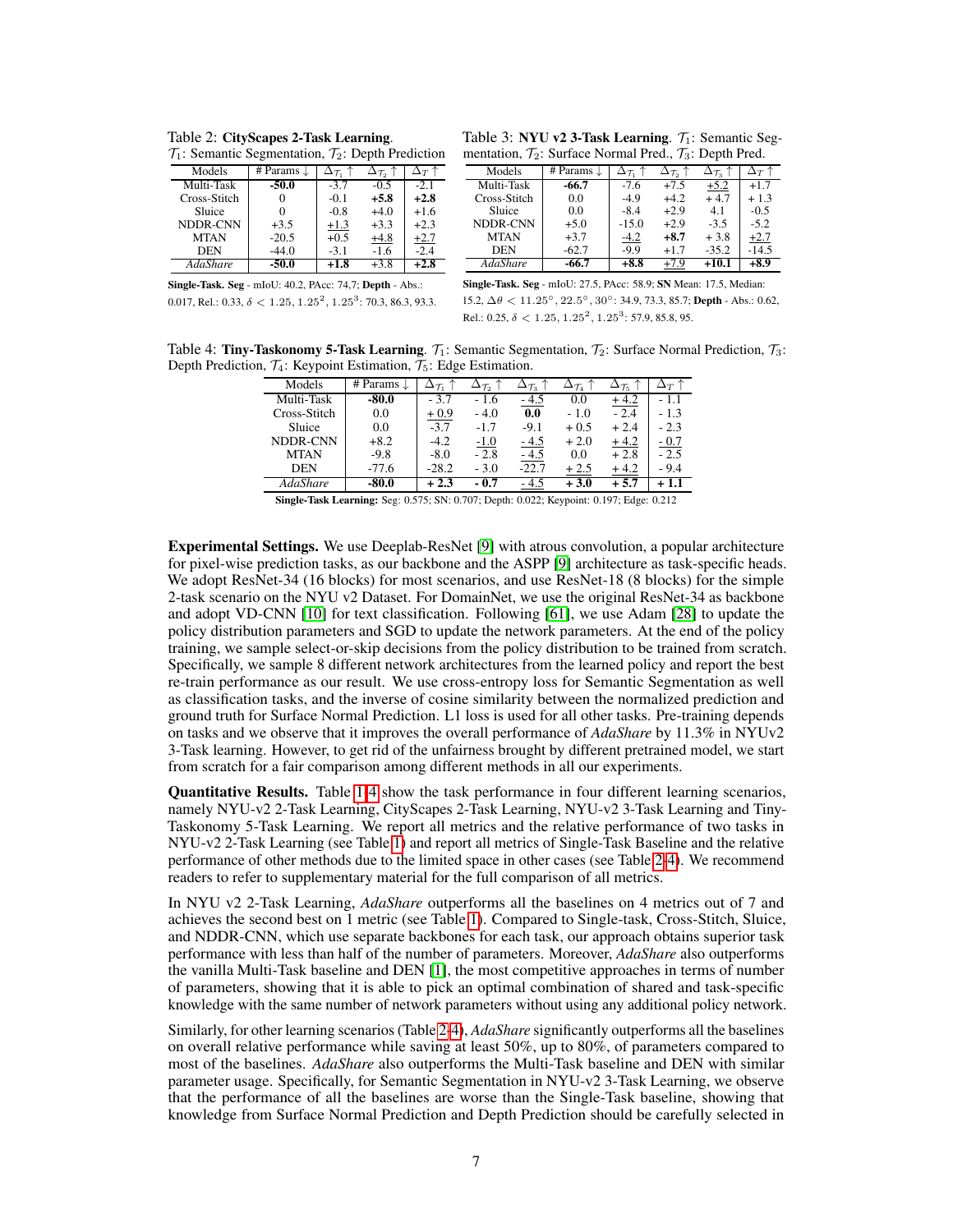<span id="page-6-1"></span>Table 2: CityScapes 2-Task Learning.  $\mathcal{T}_1$ : Semantic Segmentation,  $\mathcal{T}_2$ : Depth Prediction

| ----------, , <u>,</u> . – - <b>.</b> |                       |                          |                                   |            |  |  |
|---------------------------------------|-----------------------|--------------------------|-----------------------------------|------------|--|--|
| Models                                | # Params $\downarrow$ | $\Delta_{\mathcal{T}_1}$ | $\Delta_{\mathcal{T}_2} \uparrow$ | $\Delta_T$ |  |  |
| Multi-Task                            | $-50.0$               | $-3.7$                   | $-0.5$                            | $-2.1$     |  |  |
| Cross-Stitch                          |                       | $-0.1$                   | $+5.8$                            | $+2.8$     |  |  |
| Sluice                                |                       | $-0.8$                   | $+4.0$                            | $+1.6$     |  |  |
| NDDR-CNN                              | $+3.5$                | $+1.3$                   | $+3.3$                            | $+2.3$     |  |  |
| <b>MTAN</b>                           | $-20.5$               | $+0.5$                   | $+4.8$                            | $+2.7$     |  |  |
| <b>DEN</b>                            | $-44.0$               | $-3.1$                   | $-1.6$                            | $-2.4$     |  |  |
| <b>AdaShare</b>                       | $-50.0$               | $+1.8$                   | $+3.8$                            | $+2.8$     |  |  |

| Table 3: NYU v2 3-Task Learning. $\mathcal{T}_1$ : Semantic Seg-                 |
|----------------------------------------------------------------------------------|
| mentation, $\mathcal{T}_2$ : Surface Normal Pred., $\mathcal{T}_3$ : Depth Pred. |

| Models          | # Params $\downarrow$ | $\Delta \tau$ | $\Delta_{\mathcal{T}_2}$ | $\Delta_{\mathcal{T}_3}$ | $\Delta_T$ |
|-----------------|-----------------------|---------------|--------------------------|--------------------------|------------|
| Multi-Task      | $-66.7$               | $-7.6$        | $+7.5$                   | $+5.2$                   | $+1.7$     |
| Cross-Stitch    | 0.0                   | $-4.9$        | $+4.2$                   | $+4.7$                   | $+1.3$     |
| Sluice          | 0.0                   | $-8.4$        | $+2.9$                   | 4.1                      | $-0.5$     |
| NDDR-CNN        | $+5.0$                | $-15.0$       | $+2.9$                   | $-3.5$                   | $-5.2$     |
| <b>MTAN</b>     | $+3.7$                | $-4.2$        | $+8.7$                   | $+3.8$                   | $+2.7$     |
| <b>DEN</b>      | $-62.7$               | $-9.9$        | $+1.7$                   | $-35.2$                  | $-14.5$    |
| <b>AdaShare</b> | -66.7                 | $+8.8$        | $+7.9$                   | $+10.1$                  | $+8.9$     |

Single-Task. Seg - mIoU: 40.2, PAcc: 74,7; Depth - Abs.: 0.017, Rel.: 0.33,  $\delta < 1.25, 1.25^2, 1.25^3$ : 70.3, 86.3, 93.3. Single-Task. Seg - mIoU: 27.5, PAcc: 58.9; SN Mean: 17.5, Median: 15.2,  $\Delta \theta$  < 11.25°, 22.5°, 30°: 34.9, 73.3, 85.7; Depth - Abs.: 0.62, Rel.: 0.25,  $\delta$  < 1.25, 1.25<sup>2</sup>, 1.25<sup>3</sup>: 57.9, 85.8, 95.

<span id="page-6-0"></span>Table 4: Tiny-Taskonomy 5-Task Learning.  $\mathcal{T}_1$ : Semantic Segmentation,  $\mathcal{T}_2$ : Surface Normal Prediction,  $\mathcal{T}_3$ : Depth Prediction,  $\mathcal{T}_4$ : Keypoint Estimation,  $\mathcal{T}_5$ : Edge Estimation.

| Models       | # Params $\downarrow$ |         | $\Delta_{\mathcal{T}_2}$ | $\Delta_{\mathcal{T}_3}$ | $\Delta\tau_{\scriptscriptstyle{A}}$ | $\Delta_{\mathcal{T}_5}$ | $\Delta_T$ |
|--------------|-----------------------|---------|--------------------------|--------------------------|--------------------------------------|--------------------------|------------|
| Multi-Task   | $-80.0$               | $-3.7$  | - 1.6                    | - 4.5                    | 0.0                                  | $+4.2$                   | - 1.1      |
| Cross-Stitch | 0.0                   | $+0.9$  | $-4.0$                   | 0.0                      | $-1.0$                               | $-2.4$                   | $-1.3$     |
| Sluice       | 0.0                   | $-3.7$  | $-1.7$                   | $-9.1$                   | $+0.5$                               | $+2.4$                   | $-2.3$     |
| NDDR-CNN     | $+8.2$                | $-4.2$  | $-1.0$                   | - 4.5                    | $+2.0$                               | $+4.2$                   | $-0.7$     |
| <b>MTAN</b>  | $-9.8$                | $-8.0$  | $-2.8$                   | - 4.5                    | 0.0                                  | $+2.8$                   | $-2.5$     |
| <b>DEN</b>   | $-77.6$               | $-28.2$ | $-3.0$                   | $-22.7$                  | $+2.5$                               | $+4.2$                   | $-9.4$     |
| AdaShare     | $-80.0$               | $+2.3$  | - 0.7                    | - 4.5                    | $+3.0$                               | $+5.7$                   | $+1.1$     |

Single-Task Learning: Seg: 0.575; SN: 0.707; Depth: 0.022; Keypoint: 0.197; Edge: 0.212

Experimental Settings. We use Deeplab-ResNet [\[9\]](#page-9-8) with atrous convolution, a popular architecture for pixel-wise prediction tasks, as our backbone and the ASPP [\[9\]](#page-9-8) architecture as task-specific heads. We adopt ResNet-34 (16 blocks) for most scenarios, and use ResNet-18 (8 blocks) for the simple 2-task scenario on the NYU v2 Dataset. For DomainNet, we use the original ResNet-34 as backbone and adopt VD-CNN [\[10\]](#page-9-9) for text classification. Following [\[61\]](#page-12-11), we use Adam [\[28\]](#page-10-18) to update the policy distribution parameters and SGD to update the network parameters. At the end of the policy training, we sample select-or-skip decisions from the policy distribution to be trained from scratch. Specifically, we sample 8 different network architectures from the learned policy and report the best re-train performance as our result. We use cross-entropy loss for Semantic Segmentation as well as classification tasks, and the inverse of cosine similarity between the normalized prediction and ground truth for Surface Normal Prediction. L1 loss is used for all other tasks. Pre-training depends on tasks and we observe that it improves the overall performance of *AdaShare* by 11.3% in NYUv2 3-Task learning. However, to get rid of the unfairness brought by different pretrained model, we start from scratch for a fair comparison among different methods in all our experiments.

Quantitative Results. Table [1-](#page-5-0)[4](#page-6-0) show the task performance in four different learning scenarios, namely NYU-v2 2-Task Learning, CityScapes 2-Task Learning, NYU-v2 3-Task Learning and Tiny-Taskonomy 5-Task Learning. We report all metrics and the relative performance of two tasks in NYU-v2 2-Task Learning (see Table [1\)](#page-5-0) and report all metrics of Single-Task Baseline and the relative performance of other methods due to the limited space in other cases (see Table [2-](#page-6-1)[4\)](#page-6-0). We recommend readers to refer to supplementary material for the full comparison of all metrics.

In NYU v2 2-Task Learning, *AdaShare* outperforms all the baselines on 4 metrics out of 7 and achieves the second best on 1 metric (see Table [1\)](#page-5-0). Compared to Single-task, Cross-Stitch, Sluice, and NDDR-CNN, which use separate backbones for each task, our approach obtains superior task performance with less than half of the number of parameters. Moreover, *AdaShare* also outperforms the vanilla Multi-Task baseline and DEN [\[1\]](#page-9-2), the most competitive approaches in terms of number of parameters, showing that it is able to pick an optimal combination of shared and task-specific knowledge with the same number of network parameters without using any additional policy network.

Similarly, for other learning scenarios (Table [2](#page-6-1)[-4\)](#page-6-0), *AdaShare* significantly outperforms all the baselines on overall relative performance while saving at least 50%, up to 80%, of parameters compared to most of the baselines. *AdaShare* also outperforms the Multi-Task baseline and DEN with similar parameter usage. Specifically, for Semantic Segmentation in NYU-v2 3-Task Learning, we observe that the performance of all the baselines are worse than the Single-Task baseline, showing that knowledge from Surface Normal Prediction and Depth Prediction should be carefully selected in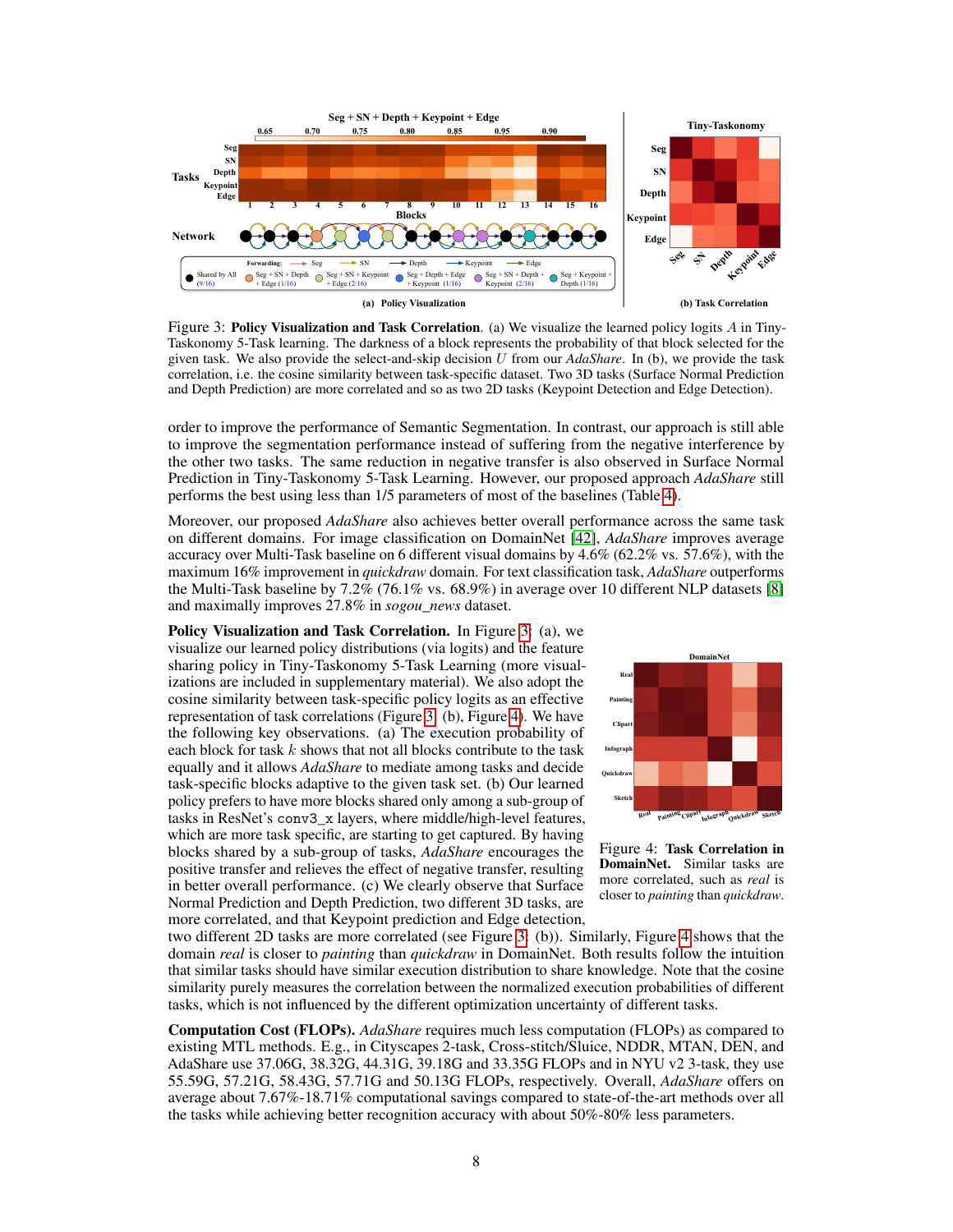<span id="page-7-0"></span>

Figure 3: Policy Visualization and Task Correlation. (a) We visualize the learned policy logits A in Tiny-Taskonomy 5-Task learning. The darkness of a block represents the probability of that block selected for the given task. We also provide the select-and-skip decision U from our *AdaShare*. In (b), we provide the task correlation, i.e. the cosine similarity between task-specific dataset. Two 3D tasks (Surface Normal Prediction and Depth Prediction) are more correlated and so as two 2D tasks (Keypoint Detection and Edge Detection).

order to improve the performance of Semantic Segmentation. In contrast, our approach is still able to improve the segmentation performance instead of suffering from the negative interference by the other two tasks. The same reduction in negative transfer is also observed in Surface Normal Prediction in Tiny-Taskonomy 5-Task Learning. However, our proposed approach *AdaShare* still performs the best using less than 1/5 parameters of most of the baselines (Table [4\)](#page-6-0).

Moreover, our proposed *AdaShare* also achieves better overall performance across the same task on different domains. For image classification on DomainNet [\[42\]](#page-11-8), *AdaShare* improves average accuracy over Multi-Task baseline on 6 different visual domains by 4.6% (62.2% vs. 57.6%), with the maximum 16% improvement in *quickdraw* domain. For text classification task, *AdaShare* outperforms the Multi-Task baseline by 7.2% (76.1% vs. 68.9%) in average over 10 different NLP datasets [\[8\]](#page-9-4) and maximally improves 27.8% in *sogou\_news* dataset.

Policy Visualization and Task Correlation. In Figure [3:](#page-7-0) (a), we visualize our learned policy distributions (via logits) and the feature sharing policy in Tiny-Taskonomy 5-Task Learning (more visualizations are included in supplementary material). We also adopt the cosine similarity between task-specific policy logits as an effective representation of task correlations (Figure [3:](#page-7-0) (b), Figure [4\)](#page-7-1). We have the following key observations. (a) The execution probability of each block for task  $k$  shows that not all blocks contribute to the task equally and it allows *AdaShare* to mediate among tasks and decide task-specific blocks adaptive to the given task set. (b) Our learned policy prefers to have more blocks shared only among a sub-group of tasks in ResNet's conv3\_x layers, where middle/high-level features, which are more task specific, are starting to get captured. By having blocks shared by a sub-group of tasks, *AdaShare* encourages the positive transfer and relieves the effect of negative transfer, resulting in better overall performance. (c) We clearly observe that Surface Normal Prediction and Depth Prediction, two different 3D tasks, are more correlated, and that Keypoint prediction and Edge detection,

<span id="page-7-1"></span>

Figure 4: Task Correlation in DomainNet. Similar tasks are more correlated, such as *real* is closer to *painting* than *quickdraw*.

two different 2D tasks are more correlated (see Figure [3:](#page-7-0) (b)). Similarly, Figure [4](#page-7-1) shows that the domain *real* is closer to *painting* than *quickdraw* in DomainNet. Both results follow the intuition that similar tasks should have similar execution distribution to share knowledge. Note that the cosine similarity purely measures the correlation between the normalized execution probabilities of different tasks, which is not influenced by the different optimization uncertainty of different tasks.

Computation Cost (FLOPs). *AdaShare* requires much less computation (FLOPs) as compared to existing MTL methods. E.g., in Cityscapes 2-task, Cross-stitch/Sluice, NDDR, MTAN, DEN, and AdaShare use 37.06G, 38.32G, 44.31G, 39.18G and 33.35G FLOPs and in NYU v2 3-task, they use 55.59G, 57.21G, 58.43G, 57.71G and 50.13G FLOPs, respectively. Overall, *AdaShare* offers on average about 7.67%-18.71% computational savings compared to state-of-the-art methods over all the tasks while achieving better recognition accuracy with about 50%-80% less parameters.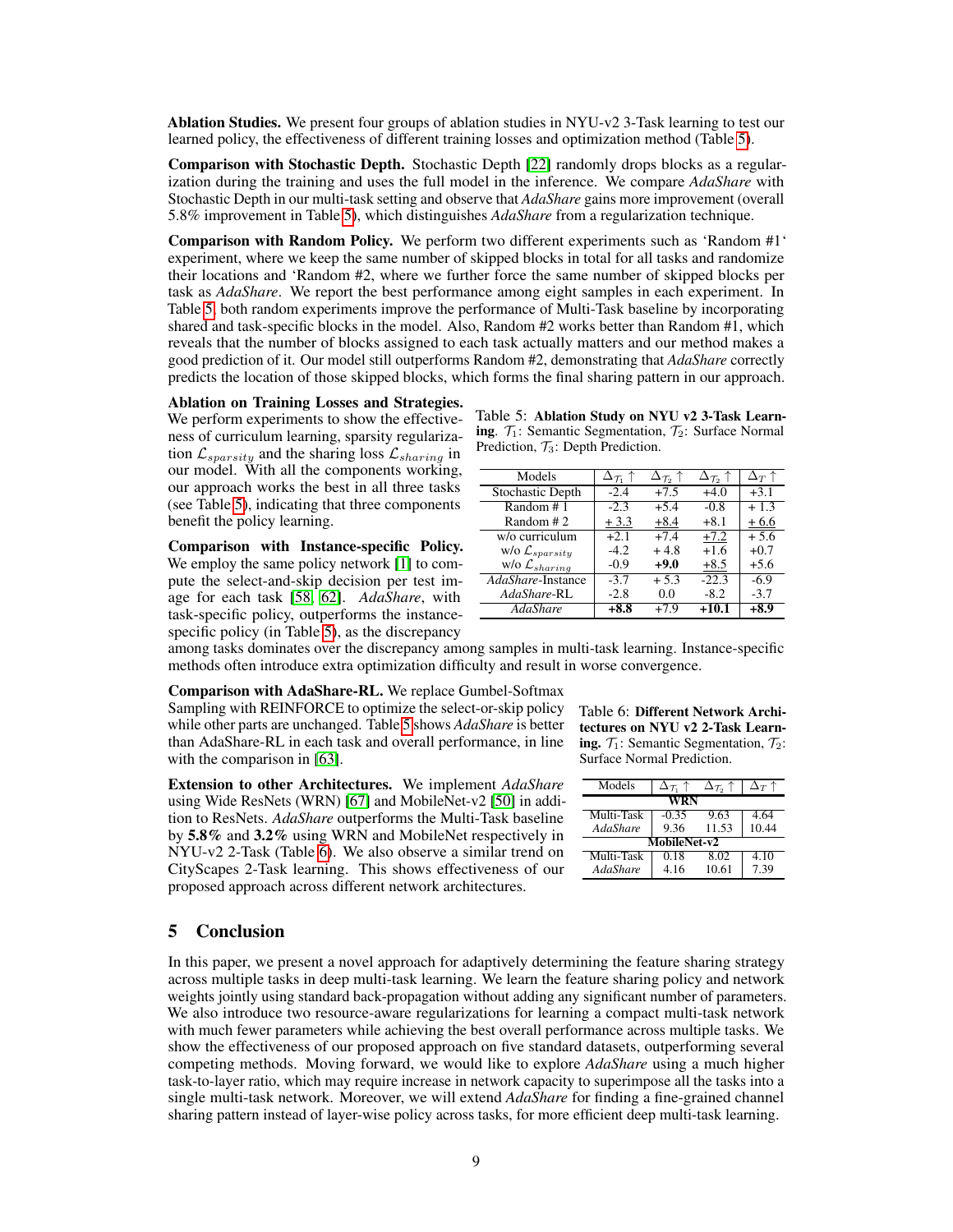Ablation Studies. We present four groups of ablation studies in NYU-v2 3-Task learning to test our learned policy, the effectiveness of different training losses and optimization method (Table [5\)](#page-8-0).

Comparison with Stochastic Depth. Stochastic Depth [\[22\]](#page-10-19) randomly drops blocks as a regularization during the training and uses the full model in the inference. We compare *AdaShare* with Stochastic Depth in our multi-task setting and observe that *AdaShare* gains more improvement (overall 5.8% improvement in Table [5\)](#page-8-0), which distinguishes *AdaShare* from a regularization technique.

Comparison with Random Policy. We perform two different experiments such as 'Random #1' experiment, where we keep the same number of skipped blocks in total for all tasks and randomize their locations and 'Random #2, where we further force the same number of skipped blocks per task as *AdaShare*. We report the best performance among eight samples in each experiment. In Table [5,](#page-8-0) both random experiments improve the performance of Multi-Task baseline by incorporating shared and task-specific blocks in the model. Also, Random #2 works better than Random #1, which reveals that the number of blocks assigned to each task actually matters and our method makes a good prediction of it. Our model still outperforms Random #2, demonstrating that *AdaShare* correctly predicts the location of those skipped blocks, which forms the final sharing pattern in our approach.

Ablation on Training Losses and Strategies.

We perform experiments to show the effectiveness of curriculum learning, sparsity regularization  $\mathcal{L}_{sparsity}$  and the sharing loss  $\mathcal{L}_{sharing}$  in our model. With all the components working, our approach works the best in all three tasks (see Table [5\)](#page-8-0), indicating that three components benefit the policy learning.

Comparison with Instance-specific Policy. We employ the same policy network [\[1\]](#page-9-2) to compute the select-and-skip decision per test image for each task [\[58,](#page-12-13) [62\]](#page-12-2). *AdaShare*, with task-specific policy, outperforms the instancespecific policy (in Table [5\)](#page-8-0), as the discrepancy

<span id="page-8-0"></span>

| Table 5: Ablation Study on NYU v2 3-Task Learn-                                       |  |
|---------------------------------------------------------------------------------------|--|
| <b>ing.</b> $\mathcal{T}_1$ : Semantic Segmentation, $\mathcal{T}_2$ : Surface Normal |  |
| Prediction, $\mathcal{T}_3$ : Depth Prediction.                                       |  |

| Models                        | $\Delta_{\mathcal{T}_1}$ 1 | $\Delta_{\mathcal{T}_2}$ 1 | $\Delta_{\mathcal{T}_2}$ 1 | $\Delta_T$ 1 |
|-------------------------------|----------------------------|----------------------------|----------------------------|--------------|
| <b>Stochastic Depth</b>       | $-2.4$                     | $+7.5$                     | $+4.0$                     | $+3.1$       |
| Random #1                     | $-2.3$                     | $+5.4$                     | $-0.8$                     | $+1.3$       |
| Random #2                     | $+3.3$                     | $+8.4$                     | $+8.1$                     | $+6.6$       |
| w/o curriculum                | $+2.1$                     | $+7.4$                     | $+7.2$                     | $+5.6$       |
| w/o $\mathcal{L}_{sparsity}$  | $-4.2$                     | $+4.8$                     | $+1.6$                     | $+0.7$       |
| $W/O$ $\mathcal{L}_{sharing}$ | $-0.9$                     | $+9.0$                     | $+8.5$                     | $+5.6$       |
| AdaShare-Instance             | $-3.7$                     | $+5.3$                     | $-22.3$                    | $-6.9$       |
| AdaShare-RL                   | $-2.8$                     | 0.0                        | $-8.2$                     | $-3.7$       |
| AdaShare                      | $+8.8$                     | $+7.9$                     | $+10.1$                    | +8.9         |

among tasks dominates over the discrepancy among samples in multi-task learning. Instance-specific methods often introduce extra optimization difficulty and result in worse convergence.

Comparison with AdaShare-RL. We replace Gumbel-Softmax Sampling with REINFORCE to optimize the select-or-skip policy while other parts are unchanged. Table [5](#page-8-0) shows *AdaShare* is better than AdaShare-RL in each task and overall performance, in line with the comparison in [\[63\]](#page-12-18).

Extension to other Architectures. We implement *AdaShare* using Wide ResNets (WRN) [\[67\]](#page-12-19) and MobileNet-v2 [\[50\]](#page-11-20) in addition to ResNets. *AdaShare* outperforms the Multi-Task baseline by 5.8% and 3.2% using WRN and MobileNet respectively in NYU-v2 2-Task (Table [6\)](#page-8-1). We also observe a similar trend on CityScapes 2-Task learning. This shows effectiveness of our proposed approach across different network architectures.

<span id="page-8-1"></span>Table 6: Different Network Architectures on NYU v2 2-Task Learning.  $\mathcal{T}_1$ : Semantic Segmentation,  $\mathcal{T}_2$ : Surface Normal Prediction.

| Models     | $\Delta\tau$ , 1 | $\Delta_{\mathcal{T}_2} \uparrow$ | $\Delta_T$ 1 |  |  |  |  |
|------------|------------------|-----------------------------------|--------------|--|--|--|--|
|            | WRN              |                                   |              |  |  |  |  |
| Multi-Task | $-0.35$          | 9.63                              | 4.64         |  |  |  |  |
| AdaShare   | 9.36             | 11.53                             | 10.44        |  |  |  |  |
|            | MobileNet-v2     |                                   |              |  |  |  |  |
| Multi-Task | 0.18             | 8.02                              | 4.10         |  |  |  |  |
| AdaShare   | 4 16             | 10.61                             | 7.39         |  |  |  |  |

# 5 Conclusion

In this paper, we present a novel approach for adaptively determining the feature sharing strategy across multiple tasks in deep multi-task learning. We learn the feature sharing policy and network weights jointly using standard back-propagation without adding any significant number of parameters. We also introduce two resource-aware regularizations for learning a compact multi-task network with much fewer parameters while achieving the best overall performance across multiple tasks. We show the effectiveness of our proposed approach on five standard datasets, outperforming several competing methods. Moving forward, we would like to explore *AdaShare* using a much higher task-to-layer ratio, which may require increase in network capacity to superimpose all the tasks into a single multi-task network. Moreover, we will extend *AdaShare* for finding a fine-grained channel sharing pattern instead of layer-wise policy across tasks, for more efficient deep multi-task learning.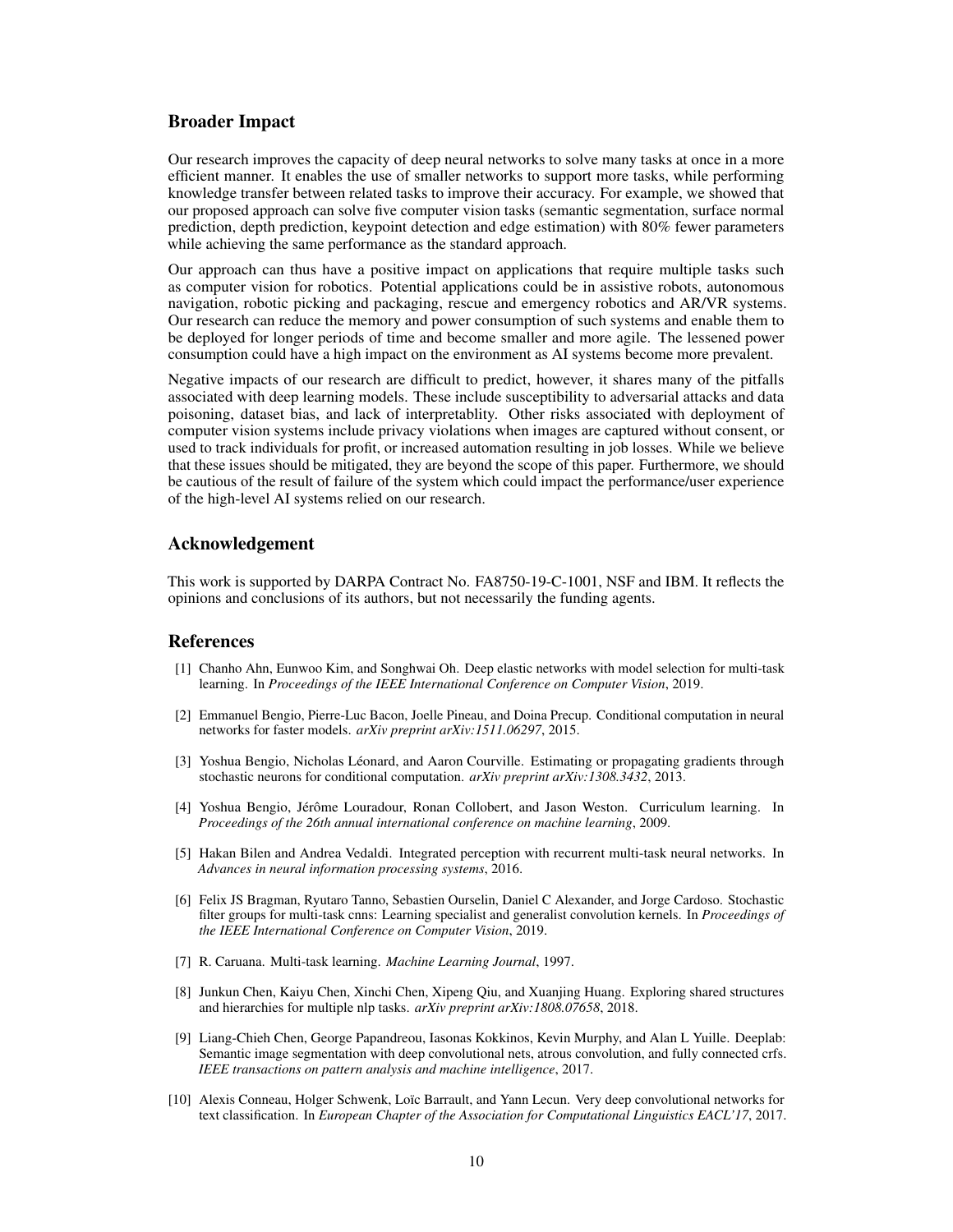### Broader Impact

Our research improves the capacity of deep neural networks to solve many tasks at once in a more efficient manner. It enables the use of smaller networks to support more tasks, while performing knowledge transfer between related tasks to improve their accuracy. For example, we showed that our proposed approach can solve five computer vision tasks (semantic segmentation, surface normal prediction, depth prediction, keypoint detection and edge estimation) with 80% fewer parameters while achieving the same performance as the standard approach.

Our approach can thus have a positive impact on applications that require multiple tasks such as computer vision for robotics. Potential applications could be in assistive robots, autonomous navigation, robotic picking and packaging, rescue and emergency robotics and AR/VR systems. Our research can reduce the memory and power consumption of such systems and enable them to be deployed for longer periods of time and become smaller and more agile. The lessened power consumption could have a high impact on the environment as AI systems become more prevalent.

Negative impacts of our research are difficult to predict, however, it shares many of the pitfalls associated with deep learning models. These include susceptibility to adversarial attacks and data poisoning, dataset bias, and lack of interpretablity. Other risks associated with deployment of computer vision systems include privacy violations when images are captured without consent, or used to track individuals for profit, or increased automation resulting in job losses. While we believe that these issues should be mitigated, they are beyond the scope of this paper. Furthermore, we should be cautious of the result of failure of the system which could impact the performance/user experience of the high-level AI systems relied on our research.

## Acknowledgement

This work is supported by DARPA Contract No. FA8750-19-C-1001, NSF and IBM. It reflects the opinions and conclusions of its authors, but not necessarily the funding agents.

#### References

- <span id="page-9-2"></span>[1] Chanho Ahn, Eunwoo Kim, and Songhwai Oh. Deep elastic networks with model selection for multi-task learning. In *Proceedings of the IEEE International Conference on Computer Vision*, 2019.
- <span id="page-9-6"></span>[2] Emmanuel Bengio, Pierre-Luc Bacon, Joelle Pineau, and Doina Precup. Conditional computation in neural networks for faster models. *arXiv preprint arXiv:1511.06297*, 2015.
- <span id="page-9-7"></span>[3] Yoshua Bengio, Nicholas Léonard, and Aaron Courville. Estimating or propagating gradients through stochastic neurons for conditional computation. *arXiv preprint arXiv:1308.3432*, 2013.
- <span id="page-9-3"></span>[4] Yoshua Bengio, Jérôme Louradour, Ronan Collobert, and Jason Weston. Curriculum learning. In *Proceedings of the 26th annual international conference on machine learning*, 2009.
- <span id="page-9-1"></span>[5] Hakan Bilen and Andrea Vedaldi. Integrated perception with recurrent multi-task neural networks. In *Advances in neural information processing systems*, 2016.
- <span id="page-9-5"></span>[6] Felix JS Bragman, Ryutaro Tanno, Sebastien Ourselin, Daniel C Alexander, and Jorge Cardoso. Stochastic filter groups for multi-task cnns: Learning specialist and generalist convolution kernels. In *Proceedings of the IEEE International Conference on Computer Vision*, 2019.
- <span id="page-9-0"></span>[7] R. Caruana. Multi-task learning. *Machine Learning Journal*, 1997.
- <span id="page-9-4"></span>[8] Junkun Chen, Kaiyu Chen, Xinchi Chen, Xipeng Qiu, and Xuanjing Huang. Exploring shared structures and hierarchies for multiple nlp tasks. *arXiv preprint arXiv:1808.07658*, 2018.
- <span id="page-9-8"></span>[9] Liang-Chieh Chen, George Papandreou, Iasonas Kokkinos, Kevin Murphy, and Alan L Yuille. Deeplab: Semantic image segmentation with deep convolutional nets, atrous convolution, and fully connected crfs. *IEEE transactions on pattern analysis and machine intelligence*, 2017.
- <span id="page-9-9"></span>[10] Alexis Conneau, Holger Schwenk, Loïc Barrault, and Yann Lecun. Very deep convolutional networks for text classification. In *European Chapter of the Association for Computational Linguistics EACL'17*, 2017.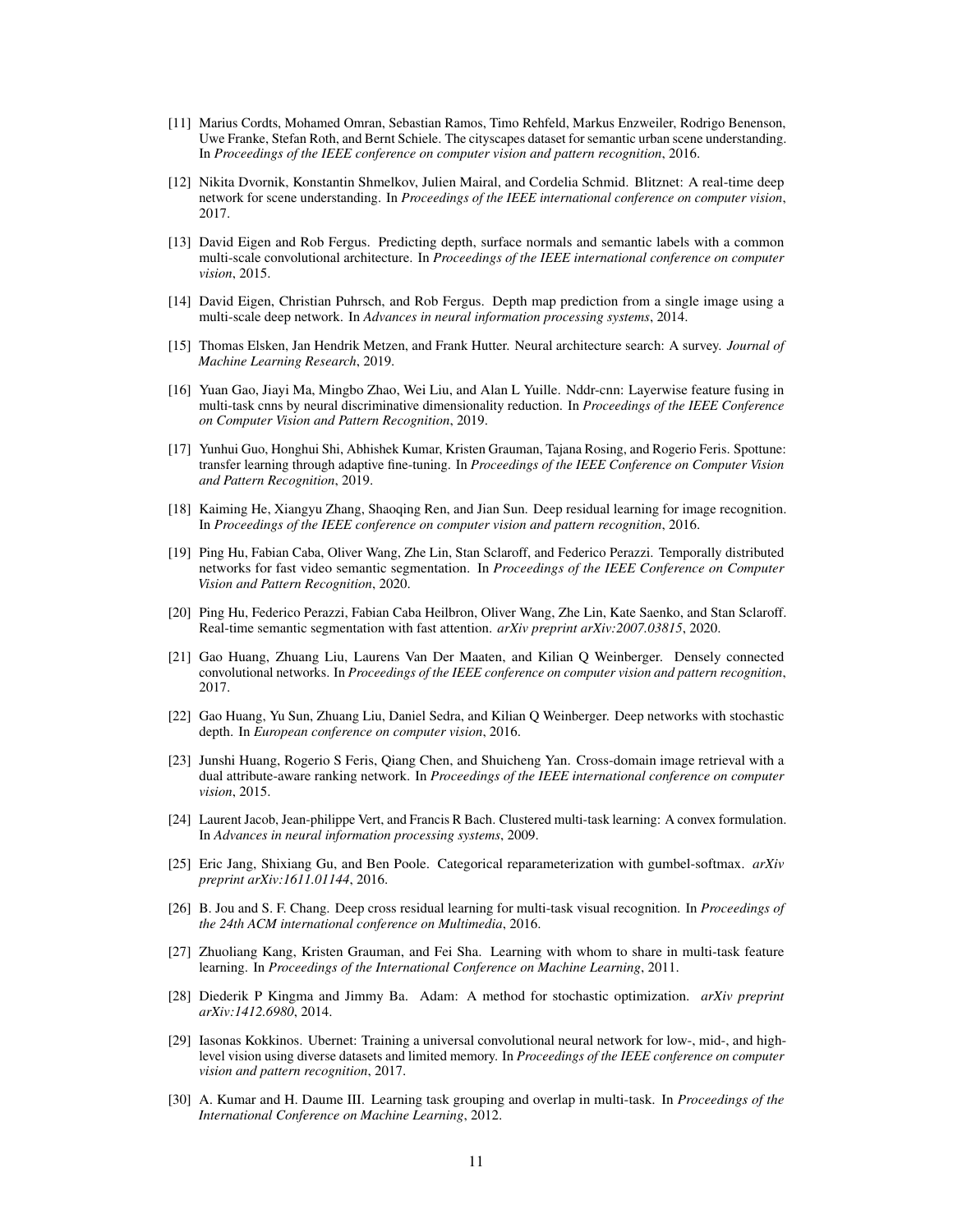- <span id="page-10-8"></span>[11] Marius Cordts, Mohamed Omran, Sebastian Ramos, Timo Rehfeld, Markus Enzweiler, Rodrigo Benenson, Uwe Franke, Stefan Roth, and Bernt Schiele. The cityscapes dataset for semantic urban scene understanding. In *Proceedings of the IEEE conference on computer vision and pattern recognition*, 2016.
- <span id="page-10-3"></span>[12] Nikita Dvornik, Konstantin Shmelkov, Julien Mairal, and Cordelia Schmid. Blitznet: A real-time deep network for scene understanding. In *Proceedings of the IEEE international conference on computer vision*, 2017.
- <span id="page-10-16"></span>[13] David Eigen and Rob Fergus. Predicting depth, surface normals and semantic labels with a common multi-scale convolutional architecture. In *Proceedings of the IEEE international conference on computer vision*, 2015.
- <span id="page-10-17"></span>[14] David Eigen, Christian Puhrsch, and Rob Fergus. Depth map prediction from a single image using a multi-scale deep network. In *Advances in neural information processing systems*, 2014.
- <span id="page-10-11"></span>[15] Thomas Elsken, Jan Hendrik Metzen, and Frank Hutter. Neural architecture search: A survey. *Journal of Machine Learning Research*, 2019.
- <span id="page-10-5"></span>[16] Yuan Gao, Jiayi Ma, Mingbo Zhao, Wei Liu, and Alan L Yuille. Nddr-cnn: Layerwise feature fusing in multi-task cnns by neural discriminative dimensionality reduction. In *Proceedings of the IEEE Conference on Computer Vision and Pattern Recognition*, 2019.
- <span id="page-10-7"></span>[17] Yunhui Guo, Honghui Shi, Abhishek Kumar, Kristen Grauman, Tajana Rosing, and Rogerio Feris. Spottune: transfer learning through adaptive fine-tuning. In *Proceedings of the IEEE Conference on Computer Vision and Pattern Recognition*, 2019.
- <span id="page-10-12"></span>[18] Kaiming He, Xiangyu Zhang, Shaoqing Ren, and Jian Sun. Deep residual learning for image recognition. In *Proceedings of the IEEE conference on computer vision and pattern recognition*, 2016.
- <span id="page-10-15"></span>[19] Ping Hu, Fabian Caba, Oliver Wang, Zhe Lin, Stan Sclaroff, and Federico Perazzi. Temporally distributed networks for fast video semantic segmentation. In *Proceedings of the IEEE Conference on Computer Vision and Pattern Recognition*, 2020.
- <span id="page-10-14"></span>[20] Ping Hu, Federico Perazzi, Fabian Caba Heilbron, Oliver Wang, Zhe Lin, Kate Saenko, and Stan Sclaroff. Real-time semantic segmentation with fast attention. *arXiv preprint arXiv:2007.03815*, 2020.
- <span id="page-10-13"></span>[21] Gao Huang, Zhuang Liu, Laurens Van Der Maaten, and Kilian Q Weinberger. Densely connected convolutional networks. In *Proceedings of the IEEE conference on computer vision and pattern recognition*, 2017.
- <span id="page-10-19"></span>[22] Gao Huang, Yu Sun, Zhuang Liu, Daniel Sedra, and Kilian Q Weinberger. Deep networks with stochastic depth. In *European conference on computer vision*, 2016.
- <span id="page-10-0"></span>[23] Junshi Huang, Rogerio S Feris, Qiang Chen, and Shuicheng Yan. Cross-domain image retrieval with a dual attribute-aware ranking network. In *Proceedings of the IEEE international conference on computer vision*, 2015.
- <span id="page-10-10"></span>[24] Laurent Jacob, Jean-philippe Vert, and Francis R Bach. Clustered multi-task learning: A convex formulation. In *Advances in neural information processing systems*, 2009.
- <span id="page-10-6"></span>[25] Eric Jang, Shixiang Gu, and Ben Poole. Categorical reparameterization with gumbel-softmax. *arXiv preprint arXiv:1611.01144*, 2016.
- <span id="page-10-2"></span>[26] B. Jou and S. F. Chang. Deep cross residual learning for multi-task visual recognition. In *Proceedings of the 24th ACM international conference on Multimedia*, 2016.
- <span id="page-10-4"></span>[27] Zhuoliang Kang, Kristen Grauman, and Fei Sha. Learning with whom to share in multi-task feature learning. In *Proceedings of the International Conference on Machine Learning*, 2011.
- <span id="page-10-18"></span>[28] Diederik P Kingma and Jimmy Ba. Adam: A method for stochastic optimization. *arXiv preprint arXiv:1412.6980*, 2014.
- <span id="page-10-1"></span>[29] Iasonas Kokkinos. Ubernet: Training a universal convolutional neural network for low-, mid-, and highlevel vision using diverse datasets and limited memory. In *Proceedings of the IEEE conference on computer vision and pattern recognition*, 2017.
- <span id="page-10-9"></span>[30] A. Kumar and H. Daume III. Learning task grouping and overlap in multi-task. In *Proceedings of the International Conference on Machine Learning*, 2012.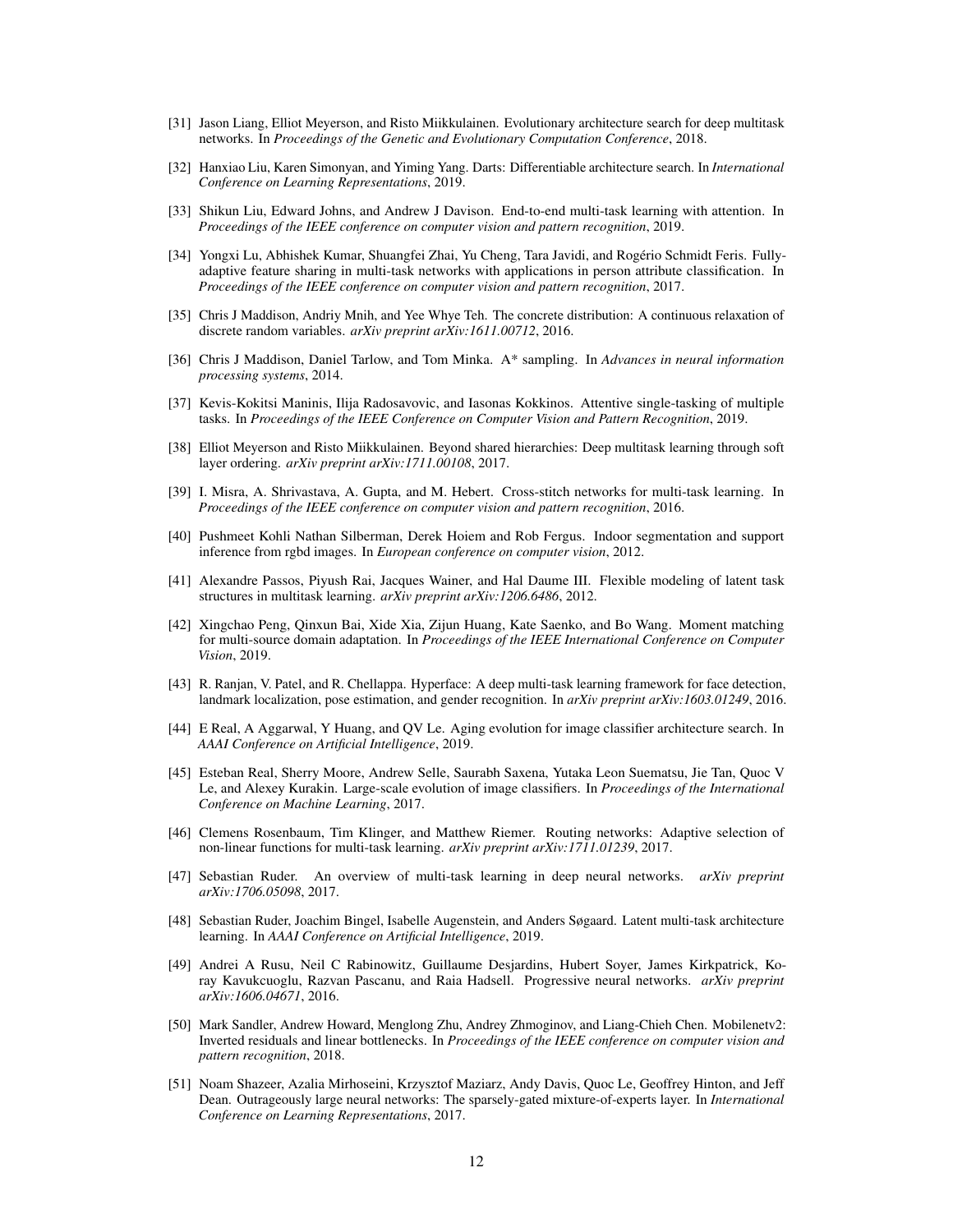- <span id="page-11-17"></span>[31] Jason Liang, Elliot Meyerson, and Risto Miikkulainen. Evolutionary architecture search for deep multitask networks. In *Proceedings of the Genetic and Evolutionary Computation Conference*, 2018.
- <span id="page-11-16"></span>[32] Hanxiao Liu, Karen Simonyan, and Yiming Yang. Darts: Differentiable architecture search. In *International Conference on Learning Representations*, 2019.
- <span id="page-11-3"></span>[33] Shikun Liu, Edward Johns, and Andrew J Davison. End-to-end multi-task learning with attention. In *Proceedings of the IEEE conference on computer vision and pattern recognition*, 2019.
- <span id="page-11-11"></span>[34] Yongxi Lu, Abhishek Kumar, Shuangfei Zhai, Yu Cheng, Tara Javidi, and Rogério Schmidt Feris. Fullyadaptive feature sharing in multi-task networks with applications in person attribute classification. In *Proceedings of the IEEE conference on computer vision and pattern recognition*, 2017.
- <span id="page-11-5"></span>[35] Chris J Maddison, Andriy Mnih, and Yee Whye Teh. The concrete distribution: A continuous relaxation of discrete random variables. *arXiv preprint arXiv:1611.00712*, 2016.
- <span id="page-11-19"></span>[36] Chris J Maddison, Daniel Tarlow, and Tom Minka. A\* sampling. In *Advances in neural information processing systems*, 2014.
- <span id="page-11-13"></span>[37] Kevis-Kokitsi Maninis, Ilija Radosavovic, and Iasonas Kokkinos. Attentive single-tasking of multiple tasks. In *Proceedings of the IEEE Conference on Computer Vision and Pattern Recognition*, 2019.
- <span id="page-11-12"></span>[38] Elliot Meyerson and Risto Miikkulainen. Beyond shared hierarchies: Deep multitask learning through soft layer ordering. *arXiv preprint arXiv:1711.00108*, 2017.
- <span id="page-11-1"></span>[39] I. Misra, A. Shrivastava, A. Gupta, and M. Hebert. Cross-stitch networks for multi-task learning. In *Proceedings of the IEEE conference on computer vision and pattern recognition*, 2016.
- <span id="page-11-7"></span>[40] Pushmeet Kohli Nathan Silberman, Derek Hoiem and Rob Fergus. Indoor segmentation and support inference from rgbd images. In *European conference on computer vision*, 2012.
- <span id="page-11-10"></span>[41] Alexandre Passos, Piyush Rai, Jacques Wainer, and Hal Daume III. Flexible modeling of latent task structures in multitask learning. *arXiv preprint arXiv:1206.6486*, 2012.
- <span id="page-11-8"></span>[42] Xingchao Peng, Qinxun Bai, Xide Xia, Zijun Huang, Kate Saenko, and Bo Wang. Moment matching for multi-source domain adaptation. In *Proceedings of the IEEE International Conference on Computer Vision*, 2019.
- <span id="page-11-0"></span>[43] R. Ranjan, V. Patel, and R. Chellappa. Hyperface: A deep multi-task learning framework for face detection, landmark localization, pose estimation, and gender recognition. In *arXiv preprint arXiv:1603.01249*, 2016.
- <span id="page-11-15"></span>[44] E Real, A Aggarwal, Y Huang, and QV Le. Aging evolution for image classifier architecture search. In *AAAI Conference on Artificial Intelligence*, 2019.
- <span id="page-11-14"></span>[45] Esteban Real, Sherry Moore, Andrew Selle, Saurabh Saxena, Yutaka Leon Suematsu, Jie Tan, Quoc V Le, and Alexey Kurakin. Large-scale evolution of image classifiers. In *Proceedings of the International Conference on Machine Learning*, 2017.
- <span id="page-11-6"></span>[46] Clemens Rosenbaum, Tim Klinger, and Matthew Riemer. Routing networks: Adaptive selection of non-linear functions for multi-task learning. *arXiv preprint arXiv:1711.01239*, 2017.
- <span id="page-11-9"></span>[47] Sebastian Ruder. An overview of multi-task learning in deep neural networks. *arXiv preprint arXiv:1706.05098*, 2017.
- <span id="page-11-2"></span>[48] Sebastian Ruder, Joachim Bingel, Isabelle Augenstein, and Anders Søgaard. Latent multi-task architecture learning. In *AAAI Conference on Artificial Intelligence*, 2019.
- <span id="page-11-4"></span>[49] Andrei A Rusu, Neil C Rabinowitz, Guillaume Desjardins, Hubert Soyer, James Kirkpatrick, Koray Kavukcuoglu, Razvan Pascanu, and Raia Hadsell. Progressive neural networks. *arXiv preprint arXiv:1606.04671*, 2016.
- <span id="page-11-20"></span>[50] Mark Sandler, Andrew Howard, Menglong Zhu, Andrey Zhmoginov, and Liang-Chieh Chen. Mobilenetv2: Inverted residuals and linear bottlenecks. In *Proceedings of the IEEE conference on computer vision and pattern recognition*, 2018.
- <span id="page-11-18"></span>[51] Noam Shazeer, Azalia Mirhoseini, Krzysztof Maziarz, Andy Davis, Quoc Le, Geoffrey Hinton, and Jeff Dean. Outrageously large neural networks: The sparsely-gated mixture-of-experts layer. In *International Conference on Learning Representations*, 2017.